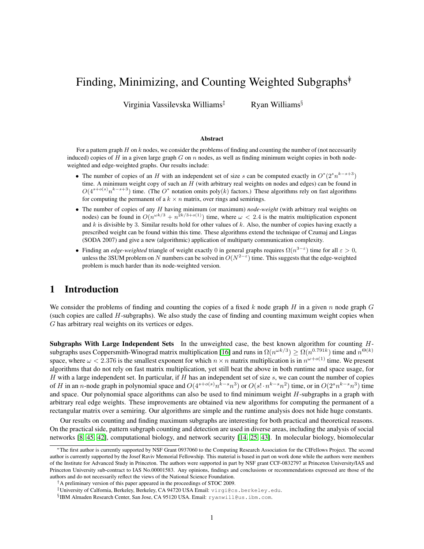# Finding, Minimizing, and Counting Weighted Subgraphs<sup>†</sup>

Virginia Vassilevska Williams<sup>‡</sup> Ryan Williams<sup>§</sup>

#### Abstract

For a pattern graph  $H$  on  $k$  nodes, we consider the problems of finding and counting the number of (not necessarily induced) copies of H in a given large graph G on n nodes, as well as finding minimum weight copies in both nodeweighted and edge-weighted graphs. Our results include:

- The number of copies of an H with an independent set of size s can be computed exactly in  $O^*(2^s n^{k-s+3})$ time. A minimum weight copy of such an  $H$  (with arbitrary real weights on nodes and edges) can be found in  $O(4^{s+o(s)}n^{k-s+3})$  time. (The  $O^*$  notation omits poly(k) factors.) These algorithms rely on fast algorithms for computing the permanent of a  $k \times n$  matrix, over rings and semirings.
- The number of copies of any H having minimum (or maximum) *node-weight* (with arbitrary real weights on nodes) can be found in  $O(n^{\omega k/3} + n^{2k/3+o(1)})$  time, where  $\omega < 2.4$  is the matrix multiplication exponent and  $k$  is divisible by 3. Similar results hold for other values of  $k$ . Also, the number of copies having exactly a prescribed weight can be found within this time. These algorithms extend the technique of Czumaj and Lingas (SODA 2007) and give a new (algorithmic) application of multiparty communication complexity.
- Finding an *edge-weighted* triangle of weight exactly 0 in general graphs requires  $\Omega(n^{3-\epsilon})$  time for all  $\epsilon > 0$ , unless the 3SUM problem on N numbers can be solved in  $O(N^{2-\epsilon})$  time. This suggests that the edge-weighted problem is much harder than its node-weighted version.

# 1 Introduction

We consider the problems of finding and counting the copies of a fixed k node graph H in a given n node graph  $G$ (such copies are called  $H$ -subgraphs). We also study the case of finding and counting maximum weight copies when G has arbitrary real weights on its vertices or edges.

Subgraphs With Large Independent Sets In the unweighted case, the best known algorithm for counting H-subgraphs uses Coppersmith-Winograd matrix multiplication [\[16\]](#page-18-0) and runs in  $\Omega(n^{\omega k/3}) \ge \Omega(n^{0.791k})$  time and  $n^{\Theta(k)}$ space, where  $\omega < 2.376$  is the smallest exponent for which  $n \times n$  matrix multiplication is in  $n^{\omega+o(1)}$  time. We present algorithms that do not rely on fast matrix multiplication, yet still beat the above in both runtime and space usage, for H with a large independent set. In particular, if H has an independent set of size  $s$ , we can count the number of copies of H in an n-node graph in polynomial space and  $O(4^{s+o(s)}n^{k-s}n^3)$  or  $O(s! \cdot n^{k-s}n^2)$  time, or in  $O(2^sn^{k-s}n^3)$  time and space. Our polynomial space algorithms can also be used to find minimum weight H-subgraphs in a graph with arbitrary real edge weights. These improvements are obtained via new algorithms for computing the permanent of a rectangular matrix over a semiring. Our algorithms are simple and the runtime analysis does not hide huge constants.

Our results on counting and finding maximum subgraphs are interesting for both practical and theoretical reasons. On the practical side, pattern subgraph counting and detection are used in diverse areas, including the analysis of social networks [\[8,](#page-17-0) [45,](#page-19-0) [42\]](#page-19-1), computational biology, and network security [\[14,](#page-17-1) [25,](#page-18-1) [43\]](#page-19-2). In molecular biology, biomolecular

<sup>∗</sup>The first author is currently supported by NSF Grant 0937060 to the Computing Research Association for the CIFellows Project. The second author is currently supported by the Josef Raviv Memorial Fellowship. This material is based in part on work done while the authors were members of the Institute for Advanced Study in Princeton. The authors were supported in part by NSF grant CCF-0832797 at Princeton University/IAS and Princeton University sub-contract to IAS No.00001583. Any opinions, findings and conclusions or recommendations expressed are those of the authors and do not necessarily reflect the views of the National Science Foundation.

<sup>†</sup>A preliminary version of this paper appeared in the proceedings of STOC 2009.

<sup>‡</sup>University of Calfornia, Berkeley, Berkeley, CA 94720 USA Email: virgi@cs.berkeley.edu.

<sup>§</sup> IBM Almaden Research Center, San Jose, CA 95120 USA. Email: ryanwill@us.ibm.com.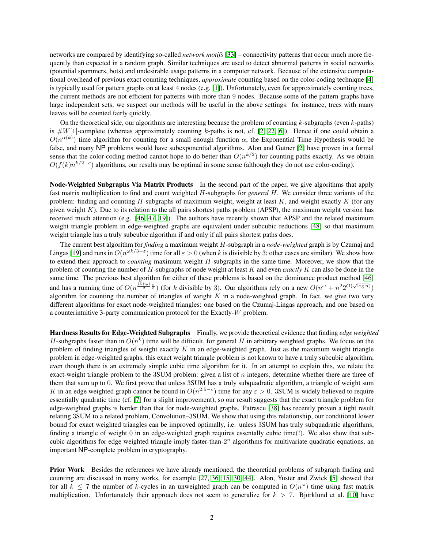networks are compared by identifying so-called *network motifs* [\[33\]](#page-18-2) – connectivity patterns that occur much more frequently than expected in a random graph. Similar techniques are used to detect abnormal patterns in social networks (potential spammers, bots) and undesirable usage patterns in a computer network. Because of the extensive computational overhead of previous exact counting techniques, *approximate* counting based on the color-coding technique [\[4\]](#page-17-2) is typically used for pattern graphs on at least 4 nodes (e.g. [\[1\]](#page-17-3)). Unfortunately, even for approximately counting trees, the current methods are not efficient for patterns with more than 9 nodes. Because some of the pattern graphs have large independent sets, we suspect our methods will be useful in the above settings: for instance, trees with many leaves will be counted fairly quickly.

On the theoretical side, our algorithms are interesting because the problem of counting  $k$ -subgraphs (even  $k$ -paths) is  $\#W[1]$ -complete (whereas approximately counting k-paths is not, cf. [\[2,](#page-17-4) [22,](#page-18-3) [6\]](#page-17-5)). Hence if one could obtain a  $O(n^{\alpha(k)})$  time algorithm for counting for a small enough function  $\alpha$ , the Exponential Time Hypothesis would be false, and many NP problems would have subexponential algorithms. Alon and Gutner [\[2\]](#page-17-4) have proven in a formal sense that the color-coding method cannot hope to do better than  $O(n^{k/2})$  for counting paths exactly. As we obtain  $O(f(k)n^{k/2+c})$  algorithms, our results may be optimal in some sense (although they do not use color-coding).

Node-Weighted Subgraphs Via Matrix Products In the second part of the paper, we give algorithms that apply fast matrix multiplication to find and count weighted H-subgraphs for *general* H. We consider three variants of the problem: finding and counting  $H$ -subgraphs of maximum weight, weight at least  $K$ , and weight exactly  $K$  (for any given weight  $K$ ). Due to its relation to the all pairs shortest paths problem (APSP), the maximum weight version has received much attention (e.g. [\[46,](#page-19-3) [47,](#page-19-4) [19\]](#page-18-4)). The authors have recently shown that APSP and the related maximum weight triangle problem in edge-weighted graphs are equivalent under subcubic reductions [\[48\]](#page-19-5) so that maximum weight triangle has a truly subcubic algorithm if and only if all pairs shortest paths does.

The current best algorithm for *finding* a maximum weight H-subgraph in a *node-weighted* graph is by Czumaj and Lingas [\[19\]](#page-18-4) and runs in  $O(n^{\omega k/3+\varepsilon})$  time for all  $\varepsilon > 0$  (when k is divisible by 3; other cases are similar). We show how to extend their approach to *counting* maximum weight H-subgraphs in the same time. Moreover, we show that the problem of counting the number of H-subgraphs of node weight at least K and even *exactly* K can also be done in the same time. The previous best algorithm for either of these problems is based on the dominance product method [\[46\]](#page-19-3) and has a running time of  $O(n^{\frac{(3+\omega)}{2}\frac{k}{3}})$  (for k divisible by 3). Our algorithms rely on a new  $O(n^{\omega} + n^2 2^{O(\sqrt{\log n}}))$ algorithm for counting the number of triangles of weight  $K$  in a node-weighted graph. In fact, we give two very different algorithms for exact node-weighted triangles: one based on the Czumaj-Lingas approach, and one based on a counterintuitive 3-party communication protocol for the Exactly-W problem.

Hardness Results for Edge-Weighted Subgraphs Finally, we provide theoretical evidence that finding *edge weighted* H-subgraphs faster than in  $O(n^k)$  time will be difficult, for general H in arbitrary weighted graphs. We focus on the problem of finding triangles of weight exactly  $K$  in an edge-weighted graph. Just as the maximum weight triangle problem in edge-weighted graphs, this exact weight triangle problem is not known to have a truly subcubic algorithm, even though there is an extremely simple cubic time algorithm for it. In an attempt to explain this, we relate the exact-weight triangle problem to the  $3SUM$  problem: given a list of  $n$  integers, determine whether there are three of them that sum up to 0. We first prove that unless 3SUM has a truly subquadratic algorithm, a triangle of weight sum K in an edge weighted graph cannot be found in  $O(n^{2.5-\epsilon})$  time for any  $\varepsilon > 0$ . 3SUM is widely believed to require essentially quadratic time (cf. [\[7\]](#page-17-6) for a slight improvement), so our result suggests that the exact triangle problem for edge-weighted graphs is harder than that for node-weighted graphs. Patrascu [\[38\]](#page-19-6) has recently proven a tight result relating 3SUM to a related problem, Convolution–3SUM. We show that using this relationship, our conditional lower bound for exact weighted triangles can be improved optimally, i.e. unless 3SUM has truly subquadratic algorithms, finding a triangle of weight 0 in an edge-weighted graph requires essentally cubic time(!). We also show that subcubic algorithms for edge weighted triangle imply faster-than- $2<sup>n</sup>$  algorithms for multivariate quadratic equations, an important NP-complete problem in cryptography.

Prior Work Besides the references we have already mentioned, the theoretical problems of subgraph finding and counting are discussed in many works, for example [\[27,](#page-18-5) [36,](#page-19-7) [15,](#page-18-6) [30,](#page-18-7) [44\]](#page-19-8). Alon, Yuster and Zwick [\[5\]](#page-17-7) showed that for all  $k \le 7$  the number of k-cycles in an unweighted graph can be computed in  $O(n^{\omega})$  time using fast matrix multiplication. Unfortunately their approach does not seem to generalize for  $k > 7$ . Björklund et al. [\[10\]](#page-17-8) have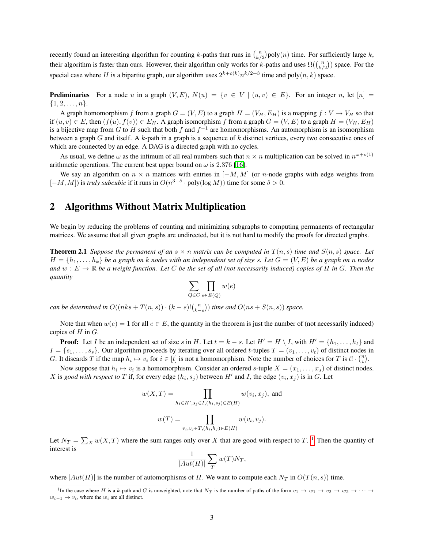recently found an interesting algorithm for counting k-paths that runs in  $\binom{n}{k/2}$  poly $(n)$  time. For sufficiently large k, their algorithm is faster than ours. However, their algorithm only works for k-paths and uses  $\Omega(\binom{n}{k/2})$  space. For the special case where H is a bipartite graph, our algorithm uses  $2^{k+o(k)}n^{k/2+3}$  time and poly $(n, k)$  space.

**Preliminaries** For a node u in a graph  $(V, E)$ ,  $N(u) = \{v \in V \mid (u, v) \in E\}$ . For an integer n, let  $[n] =$  $\{1, 2, \ldots, n\}.$ 

A graph homomorphism f from a graph  $G = (V, E)$  to a graph  $H = (V_H, E_H)$  is a mapping  $f : V \to V_H$  so that if  $(u, v) \in E$ , then  $(f(u), f(v)) \in E_H$ . A graph isomorphism f from a graph  $G = (V, E)$  to a graph  $H = (V_H, E_H)$ is a bijective map from G to H such that both f and  $f^{-1}$  are homomorphisms. An automorphism is an isomorphism between a graph G and itself. A  $k$ -path in a graph is a sequence of  $k$  distinct vertices, every two consecutive ones of which are connected by an edge. A DAG is a directed graph with no cycles.

As usual, we define  $\omega$  as the infimum of all real numbers such that  $n \times n$  multiplication can be solved in  $n^{\omega+o(1)}$ arithmetic operations. The current best upper bound on  $\omega$  is 2.376 [\[16\]](#page-18-0).

We say an algorithm on  $n \times n$  matrices with entries in  $[-M, M]$  (or *n*-node graphs with edge weights from  $[-M, M]$ ) is *truly subcubic* if it runs in  $O(n^{3-\delta} \cdot \text{poly}(\log M))$  time for some  $\delta > 0$ .

# 2 Algorithms Without Matrix Multiplication

We begin by reducing the problems of counting and minimizing subgraphs to computing permanents of rectangular matrices. We assume that all given graphs are undirected, but it is not hard to modify the proofs for directed graphs.

<span id="page-2-1"></span>**Theorem 2.1** *Suppose the permanent of an*  $s \times n$  *matrix can be computed in*  $T(n, s)$  *time and*  $S(n, s)$  *space. Let*  $H = \{h_1, \ldots, h_k\}$  be a graph on k nodes with an independent set of size s. Let  $G = (V, E)$  be a graph on n nodes and  $w : E \to \mathbb{R}$  be a weight function. Let C be the set of all (not necessarily induced) copies of H in G. Then the *quantity*

$$
\sum_{Q \in C} \prod_{e \in E(Q)} w(e)
$$

*can be determined in*  $O((nks + T(n, s)) \cdot (k - s)! {n \choose k-s})$  *time and*  $O(ns + S(n, s))$  *space.* 

Note that when  $w(e) = 1$  for all  $e \in E$ , the quantity in the theorem is just the number of (not necessarily induced) copies of  $H$  in  $G$ .

**Proof:** Let I be an independent set of size s in H. Let  $t = k - s$ . Let  $H' = H \setminus I$ , with  $H' = \{h_1, \ldots, h_t\}$  and  $I = \{s_1, \ldots, s_s\}$ . Our algorithm proceeds by iterating over all ordered t-tuples  $T = (v_1, \ldots, v_t)$  of distinct nodes in G. It discards T if the map  $h_i \mapsto v_i$  for  $i \in [t]$  is not a homomorphism. Note the number of choices for T is  $t! \cdot {n \choose t}$ .

Now suppose that  $h_i \mapsto v_i$  is a homomorphism. Consider an ordered s-tuple  $X = (x_1, \ldots, x_s)$  of distinct nodes. X is good with respect to T if, for every edge  $(h_i, s_j)$  between H' and I, the edge  $(v_i, x_j)$  is in G. Let

$$
w(X,T) = \prod_{h_i \in H', s_j \in I, (h_i, s_j) \in E(H)} w(v_i, x_j), \text{ and}
$$

$$
w(T) = \prod_{v_i, v_j \in T, (h_i, h_j) \in E(H)} w(v_i, v_j).
$$

Let  $N_T = \sum_X w(X,T)$  where the sum ranges only over X that are good with respect to T.<sup>[1](#page-2-0)</sup> Then the quantity of interest is

$$
\frac{1}{|Aut(H)|} \sum_{T} w(T) N_T,
$$

where  $|Aut(H)|$  is the number of automorphisms of H. We want to compute each  $N_T$  in  $O(T(n, s))$  time.

<span id="page-2-0"></span><sup>&</sup>lt;sup>1</sup>In the case where H is a k-path and G is unweighted, note that  $N_T$  is the number of paths of the form  $v_1 \rightarrow w_1 \rightarrow v_2 \rightarrow w_2 \rightarrow \cdots$  $w_{t-1} \rightarrow v_t$ , where the  $w_i$  are all distinct.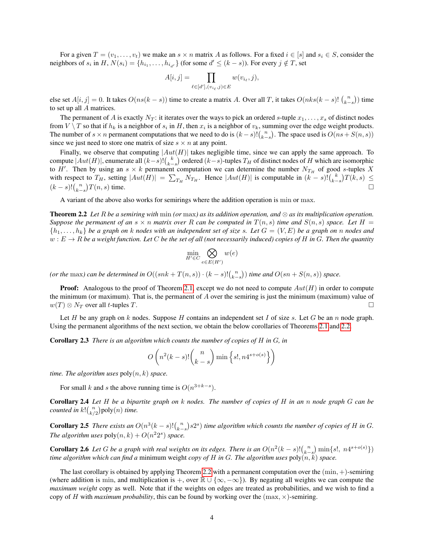For a given  $T = (v_1, \ldots, v_t)$  we make an  $s \times n$  matrix A as follows. For a fixed  $i \in [s]$  and  $s_i \in S$ , consider the neighbors of  $s_i$  in  $H$ ,  $N(s_i) = \{h_{i_1}, \ldots, h_{i_{d'}}\}$  (for some  $d' \leq (k - s)$ ). For every  $j \notin T$ , set

$$
A[i,j] = \prod_{\ell \in [d'], (v_{i_\ell}, j) \in E} w(v_{i_\ell}, j),
$$

else set  $A[i, j] = 0$ . It takes  $O(ns(k - s))$  time to create a matrix A. Over all T, it takes  $O(nks(k - s)$ !  $\binom{n}{k-s}$ ) time to set up all A matrices.

The permanent of A is exactly  $N_T$ : it iterates over the ways to pick an ordered s-tuple  $x_1, \ldots, x_s$  of distinct nodes from  $V \setminus T$  so that if  $h_k$  is a neighbor of  $s_i$  in H, then  $x_i$  is a neighbor of  $v_k$ , summing over the edge weight products. The number of  $s \times n$  permanent computations that we need to do is  $(k-s)! {n \choose k-s}$ . The space used is  $O(ns + S(n, s))$ since we just need to store one matrix of size  $s \times n$  at any point.

Finally, we observe that computing  $|Aut(H)|$  takes negligible time, since we can apply the same approach. To compute  $|Aut(H)|$ , enumerate all  $(k-s)$ ! $\binom{k}{k-s}$  ordered  $(k-s)$ -tuples  $T_H$  of distinct nodes of  $H$  which are isomorphic to H'. Then by using an  $s \times k$  permanent computation we can determine the number  $N_{T_H}$  of good s-tuples X with respect to  $T_H$ , setting  $|Aut(H)| = \sum_{T_H} N_{T_H}$ . Hence  $|Aut(H)|$  is computable in  $(k - s)!(\binom{k}{k-s})T(k, s) \le$  $(k-s)!{n\choose k-s}$  $T(n, s)$  time.

A variant of the above also works for semirings where the addition operation is min or max.

<span id="page-3-0"></span>Theorem 2.2 *Let* R *be a semiring with* min *(or* max*) as its addition operation, and* ⊗ *as its multiplication operation. Suppose the permanent of an*  $s \times n$  *matrix over* R *can be computed in*  $T(n, s)$  *time and*  $S(n, s)$  *space. Let*  $H =$  $\{h_1, \ldots, h_k\}$  be a graph on k nodes with an independent set of size s. Let  $G = (V, E)$  be a graph on n nodes and  $w: E \to R$  be a weight function. Let C be the set of all (not necessarily induced) copies of H in G. Then the quantity

$$
\min_{H' \in C} \bigotimes_{e \in E(H')} w(e)
$$

*(or the* max*)* can be determined in  $O((snk + T(n, s)) \cdot (k - s)! {n \choose k-s})$  time and  $O(sn + S(n, s))$  space.

**Proof:** Analogous to the proof of Theorem [2.1,](#page-2-1) except we do not need to compute  $Aut(H)$  in order to compute the minimum (or maximum). That is, the permanent of  $A$  over the semiring is just the minimum (maximum) value of  $w(T) \otimes N_T$  over all t-tuples T.

Let H be any graph on k nodes. Suppose H contains an independent set I of size s. Let G be an n node graph. Using the permanent algorithms of the next section, we obtain the below corollaries of Theorems [2.1](#page-2-1) and [2.2.](#page-3-0)

Corollary 2.3 *There is an algorithm which counts the number of copies of* H *in* G*, in*

$$
O\left(n^2(k-s)!\binom{n}{k-s}\min\left\{s!,n4^{s+o(s)}\right\}\right)
$$

*time. The algorithm uses*  $poly(n, k)$  *space.* 

For small k and s the above running time is  $O(n^{3+k-s})$ .

Corollary 2.4 *Let* H *be a bipartite graph on* k *nodes. The number of copies of* H *in an* n *node graph* G *can be counted in*  $k! {n \choose k/2}$  poly $(n)$  *time.* 

**Corollary 2.5** There exists an  $O(n^3(k-s)!(\binom{n}{k-s}s2^s)$  time algorithm which counts the number of copies of H in G. *The algorithm uses*  $poly(n, k) + O(n^2 2^s)$  *space.* 

**Corollary 2.6** Let G be a graph with real weights on its edges. There is an  $O(n^2(k-s)!(\binom{n}{k-s})\min\{s!, n4^{s+o(s)}\})$ *time algorithm which can find a* minimum weight *copy of* H *in* G*. The algorithm uses* poly(n, k) *space.*

The last corollary is obtained by applying Theorem [2.2](#page-3-0) with a permanent computation over the  $(\min, +)$ -semiring (where addition is min, and multiplication is +, over  $\mathbb{R} \cup \{\infty, -\infty\}$ ). By negating all weights we can compute the *maximum weight* copy as well. Note that if the weights on edges are treated as probabilities, and we wish to find a copy of H with *maximum probability*, this can be found by working over the  $(\text{max}, \times)$ -semiring.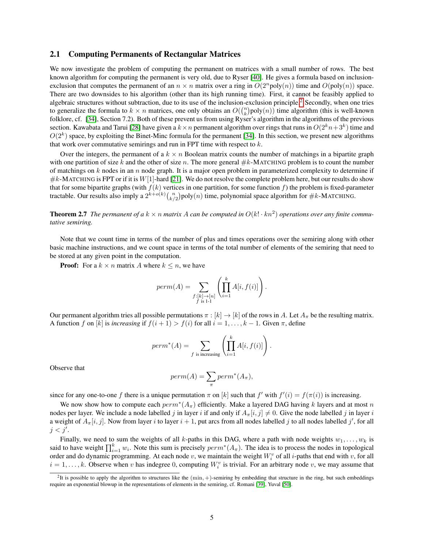### 2.1 Computing Permanents of Rectangular Matrices

We now investigate the problem of computing the permanent on matrices with a small number of rows. The best known algorithm for computing the permanent is very old, due to Ryser [\[40\]](#page-19-9). He gives a formula based on inclusionexclusion that computes the permanent of an  $n \times n$  matrix over a ring in  $O(2^n \text{poly}(n))$  time and  $O(\text{poly}(n))$  space. There are two downsides to his algorithm (other than its high running time). First, it cannot be feasibly applied to algebraic structures without subtraction, due to its use of the inclusion-exclusion principle.[2](#page-4-0) Secondly, when one tries to generalize the formula to  $k \times n$  matrices, one only obtains an  $O(\binom{n}{k}poly(n))$  time algorithm (this is well-known folklore, cf. [\[34\]](#page-18-8), Section 7.2). Both of these prevent us from using Ryser's algorithm in the algorithms of the previous section. Kawabata and Tarui [\[28\]](#page-18-9) have given a  $k \times n$  permanent algorithm over rings that runs in  $O(2^kn+3^k)$  time and  $O(2<sup>k</sup>)$  space, by exploiting the Binet-Minc formula for the permanent [\[34\]](#page-18-8). In this section, we present new algorithms that work over commutative semirings and run in FPT time with respect to  $k$ .

Over the integers, the permanent of a  $k \times n$  Boolean matrix counts the number of matchings in a bipartite graph with one partition of size k and the other of size n. The more general  $\#k$ -MATCHING problem is to count the number of matchings on  $k$  nodes in an n node graph. It is a major open problem in parameterized complexity to determine if  $\#k$ -MATCHING is FPT or if it is  $W[1]$ -hard [\[21\]](#page-18-10). We do not resolve the complete problem here, but our results do show that for some bipartite graphs (with  $f(k)$  vertices in one partition, for some function f) the problem is fixed-parameter tractable. Our results also imply a  $2^{k+o(k)} {n \choose k/2}$  poly $(n)$  time, polynomial space algorithm for  $\#k$ -MATCHING.

**Theorem 2.7** The permanent of a  $k \times n$  matrix A can be computed in  $O(k! \cdot kn^2)$  operations over any finite commu*tative semiring.*

Note that we count time in terms of the number of plus and times operations over the semiring along with other basic machine instructions, and we count space in terms of the total number of elements of the semiring that need to be stored at any given point in the computation.

**Proof:** For a  $k \times n$  matrix A where  $k \leq n$ , we have

$$
perm(A) = \sum_{\substack{f:[k]\to[n]\\f \text{ is } 1-1}} \left( \prod_{i=1}^k A[i, f(i)] \right).
$$

Our permanent algorithm tries all possible permutations  $\pi : [k] \to [k]$  of the rows in A. Let  $A_{\pi}$  be the resulting matrix. A function f on [k] is *increasing* if  $f(i + 1) > f(i)$  for all  $i = 1, ..., k - 1$ . Given  $\pi$ , define

$$
perm^*(A) = \sum_{f \text{ is increasing}} \left( \prod_{i=1}^k A[i,f(i)] \right).
$$

Observe that

$$
perm(A) = \sum_{\pi} perm^*(A_{\pi}),
$$

since for any one-to-one f there is a unique permutation  $\pi$  on [k] such that  $f'$  with  $f'(i) = f(\pi(i))$  is increasing.

We now show how to compute each  $perm^*(A_\pi)$  efficiently. Make a layered DAG having k layers and at most n nodes per layer. We include a node labelled j in layer i if and only if  $A_{\pi}[i, j] \neq 0$ . Give the node labelled j in layer i a weight of  $A_\pi[i, j]$ . Now from layer i to layer  $i + 1$ , put arcs from all nodes labelled j to all nodes labelled j', for all  $j < j'$ .

Finally, we need to sum the weights of all k-paths in this DAG, where a path with node weights  $w_1, \ldots, w_k$  is said to have weight  $\prod_{i=1}^k w_i$ . Note this sum is precisely  $perm^*(A_\pi)$ . The idea is to process the nodes in topological order and do dynamic programming. At each node v, we maintain the weight  $W_i^v$  of all *i*-paths that end with v, for all  $i = 1, \ldots, k$ . Observe when v has indegree 0, computing  $W_i^v$  is trivial. For an arbitrary node v, we may assume that

<span id="page-4-0"></span><sup>&</sup>lt;sup>2</sup>It is possible to apply the algorithm to structures like the  $(min, +)$ -semiring by embedding that structure in the ring, but such embeddings require an exponential blowup in the representations of elements in the semiring, cf. Romani [\[39\]](#page-19-10), Yuval [\[50\]](#page-19-11).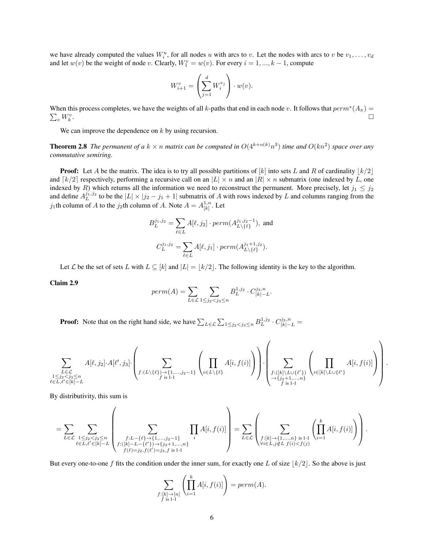we have already computed the values  $W_i^u$ , for all nodes u with arcs to v. Let the nodes with arcs to v be  $v_1, \ldots, v_d$ and let  $w(v)$  be the weight of node v. Clearly,  $W_1^v = w(v)$ . For every  $i = 1, ..., k - 1$ , compute

$$
W_{i+1}^v = \left(\sum_{j=1}^d W_i^{v_j}\right) \cdot w(v).
$$

When this process completes, we have the weights of all k-paths that end in each node v. It follows that  $perm^*(A_\pi)$  $\sum_{v} W_{k}^{v}$ . In the contract of the contract of the contract of the contract of the contract of the contract of the contra<br>The contract of the contract of the contract of the contract of the contract of the contract of the contract o

We can improve the dependence on  $k$  by using recursion.

<span id="page-5-1"></span>**Theorem 2.8** The permanent of a  $k \times n$  matrix can be computed in  $O(4^{k+o(k)}n^3)$  time and  $O(kn^2)$  space over any *commutative semiring.*

**Proof:** Let A be the matrix. The idea is to try all possible partitions of  $[k]$  into sets L and R of cardinality  $\lfloor k/2 \rfloor$ and  $\lceil k/2 \rceil$  respectively, performing a recursive call on an  $|L| \times n$  and an  $|R| \times n$  submatrix (one indexed by L, one indexed by R) which returns all the information we need to reconstruct the permanent. More precisely, let  $j_1 \leq j_2$ and define  $A_L^{j_1,j_2}$  to be the  $|L| \times |j_2 - j_1 + 1|$  submatrix of A with rows indexed by L and columns ranging from the  $j_1$ th column of A to the  $j_2$ th column of A. Note  $A = A_{[k]}^{1,n}$  $\binom{1,n}{[k]}$ . Let

$$
B_L^{j_1,j_2} = \sum_{\ell \in L} A[\ell, j_2] \cdot perm(A_{L \setminus \{\ell\}}^{j_1, j_2 - 1}), \text{ and}
$$
  

$$
C_L^{j_1, j_2} = \sum_{\ell \in L} A[\ell, j_1] \cdot perm(A_{L \setminus \{\ell\}}^{j_1 + 1, j_2}).
$$

Let L be the set of sets L with  $L \subseteq [k]$  and  $|L| = |k/2|$ . The following identity is the key to the algorithm.

<span id="page-5-0"></span>Claim 2.9

$$
perm(A) = \sum_{L \in \mathcal{L}} \sum_{1 \le j_2 < j_3 \le n} B_L^{1,j_2} \cdot C_{|k|-L}^{j_3,n}.
$$

**Proof:** Note that on the right hand side, we have  $\sum_{L \in \mathcal{L}} \sum_{1 \leq j_2 < j_3 \leq n} B_L^{1,j_2} \cdot C_{|k|-L}^{j_3,n} =$ 

$$
\sum_{\substack{L \in \mathcal{L} \\ 1 \leq j_2 < j_3 \leq n \\ \ell \in L, \ell' \in [k]-L}} A[\ell, j_2] \cdot A[\ell', j_3] \cdot \left( \sum_{f: (L \setminus \{\ell\}) \to \{1, \ldots, j_2-1\}} \left( \prod_{i \in L \setminus \{\ell\}} A[i, f(i)] \right) \right) \cdot \left( \sum_{\substack{f: ([k] \setminus L \cup \{\ell'\}) \\ \to \{j_3+1, \ldots, n\} \\ f \text{ is } 1-1}} \left( \prod_{i \in [k] \setminus L \cup \{\ell'\}} A[i, f(i)] \right) \right)
$$

.

By distributivity, this sum is

$$
=\sum_{L\in\mathcal{L}}\sum_{\substack{1\leq j_2
$$

But every one-to-one f fits the condition under the inner sum, for exactly one L of size  $\lfloor k/2 \rfloor$ . So the above is just

$$
\sum_{\substack{f:[k]\to[n]\\f\text{ is }1-1}}\left(\prod_{i=1}^k A[i,f(i)]\right) = perm(A).
$$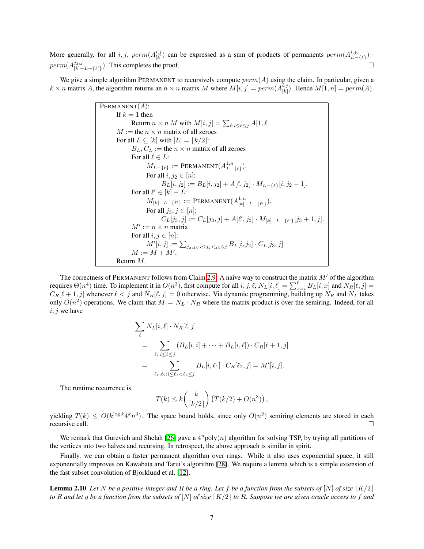More generally, for all  $i, j$ ,  $perm(A_{[1,1]}^{i,j)}$  $\binom{i,j}{[k]}$  can be expressed as a sum of products of permanents  $perm(A_{L-\{\ell\}}^{i,j_2})$ .  $perm(A^{j_3,j}_{[k]-L-\{\ell'\}})$ . This completes the proof.

We give a simple algorithm PERMANENT to recursively compute  $perm(A)$  using the claim. In particular, given a  $k \times n$  matrix A, the algorithm returns an  $n \times n$  matrix M where  $M[i, j] = perm(A_{[1]}^{i, j})$  $\binom{n,j}{[k]}$ . Hence  $M[1,n] = perm(A)$ .

**PERMARENT(A):**  
\nIf 
$$
k = 1
$$
 then  
\nReturn  $n \times n$  *M* with  $M[i, j] = \sum_{\ell : i \leq \ell \leq j} A[1, \ell]$   
\n*M* := the  $n \times n$  matrix of all zeroes  
\nFor all  $L \subseteq [k]$  with  $|L| = \lfloor k/2 \rfloor$ :  
\n*B<sub>L</sub>*, *C<sub>L</sub>* := the  $n \times n$  matrix of all zeroes  
\nFor all  $\ell \in L$ :  
\n $M_{L-\{\ell\}}$  := PERMANENT( $A_{L-\{\ell\}}^{1,n}$ ).  
\nFor all  $i, j_2 \in [n]$ :  
\n $B_L[i, j_2] := B_L[i, j_2] + A[\ell, j_2] \cdot M_{L-\{\ell\}}[i, j_2 - 1]$ .  
\nFor all  $\ell' \in [k] - L$ :  
\n $M_{[k]-L-\{\ell'\}}$  := PERMANENT( $A_{[k]-L-\{\ell'\}}^{1,n}$ ).  
\nFor all  $j_3, j \in [n]$ :  
\n $C_L[j_3, j] := C_L[j_3, j] + A[\ell', j_3] \cdot M_{[k]-L-\{\ell'\}}[j_3 + 1, j]$ .  
\n*M'* :=  $n \times n$  matrix  
\nFor all  $i, j \in [n]$ :  
\n $M'[i, j] := \sum_{j_2, j_3 : i \leq j_2 < j_3 \leq j} B_L[i, j_2] \cdot C_L[j_3, j]$   
\n $M := M + M'$ .  
\nReturn *M*.

The correctness of PERMANENT follows from Claim [2.9.](#page-5-0) A naive way to construct the matrix  $M'$  of the algorithm requires  $\Theta(n^4)$  time. To implement it in  $O(n^3)$ , first compute for all  $i, j, \ell, N_L[i, \ell] = \sum_{x=i}^{\ell} B_L[i, x]$  and  $N_R[\ell, j] =$  $C_R[\ell + 1, j]$  whenever  $\ell < j$  and  $N_R[\ell, j] = 0$  otherwise. Via dynamic programming, building up  $N_R$  and  $N_L$  takes only  $O(n^2)$  operations. We claim that  $M = N_L \cdot N_R$  where the matrix product is over the semiring. Indeed, for all  $i, j$  we have

$$
\sum_{\ell} N_L[i, \ell] \cdot N_R[\ell, j] \n= \sum_{\ell: \ i \le \ell \le j} (B_L[i, i] + \dots + B_L[i, \ell]) \cdot C_R[\ell + 1, j] \n= \sum_{\ell_1, \ell_2: i \le \ell_1 < \ell_2 \le j} B_L[i, \ell_1] \cdot C_R[\ell_2, j] = M'[i, j].
$$

The runtime recurrence is

$$
T(k) \leq k \binom{k}{\lceil k/2 \rceil} \left( T(k/2) + O(n^3) \right),
$$

yielding  $T(k) \le O(k^{\log k} 4^k n^3)$ . The space bound holds, since only  $O(n^2)$  semiring elements are stored in each recursive call.

We remark that Gurevich and Shelah [\[26\]](#page-18-11) gave a  $4^n$ poly $(n)$  algorithm for solving TSP, by trying all partitions of the vertices into two halves and recursing. In retrospect, the above approach is similar in spirit.

Finally, we can obtain a faster permanent algorithm over rings. While it also uses exponential space, it still exponentially improves on Kawabata and Tarui's algorithm [\[28\]](#page-18-9). We require a lemma which is a simple extension of the fast subset convolution of Bjorklund et al. [\[12\]](#page-17-9).

<span id="page-6-0"></span>**Lemma 2.10** Let N be a positive integer and R be a ring. Let f be a function from the subsets of  $[N]$  of size  $|K/2|$ *to* R and let g be a function from the subsets of  $[N]$  of size  $[K/2]$  to R. Suppose we are given oracle access to f and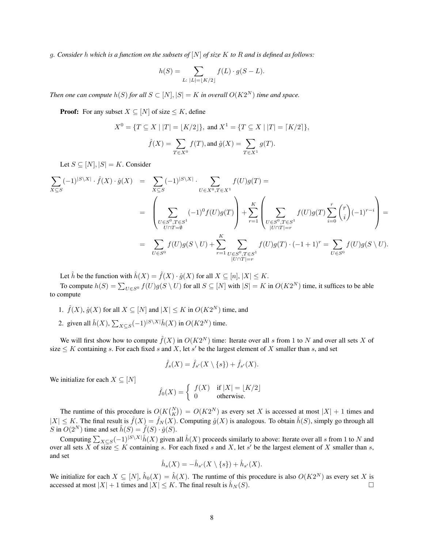g*. Consider* h *which is a function on the subsets of* [N] *of size* K *to* R *and is defined as follows:*

$$
h(S) = \sum_{L: \ |L| = \lfloor K/2 \rfloor} f(L) \cdot g(S - L).
$$

*Then one can compute*  $h(S)$  *for all*  $S \subset [N], |S| = K$  *in overall*  $O(K2^N)$  *time and space.* 

**Proof:** For any subset  $X \subseteq [N]$  of size  $\leq K$ , define

$$
X^{0} = \{ T \subseteq X \mid |T| = \lfloor K/2 \rfloor \}, \text{ and } X^{1} = \{ T \subseteq X \mid |T| = \lceil K/2 \rceil \},
$$

$$
\hat{f}(X) = \sum_{T \in X^{0}} f(T), \text{ and } \hat{g}(X) = \sum_{T \in X^{1}} g(T).
$$

Let  $S \subseteq [N], |S| = K$ . Consider

$$
\sum_{X \subseteq S} (-1)^{|S \setminus X|} \cdot \hat{f}(X) \cdot \hat{g}(X) = \sum_{X \subseteq S} (-1)^{|S \setminus X|} \cdot \sum_{U \in X^0, T \in X^1} f(U)g(T) =
$$
\n
$$
= \left( \sum_{\substack{U \in S^0, T \in S^1 \\ U \cap T = \emptyset}} (-1)^0 f(U)g(T) \right) + \sum_{r=1}^K \left( \sum_{\substack{U \in S^0, T \in S^1 \\ |U \cap T| = r}} f(U)g(T) \sum_{i=0}^r {r \choose i} (-1)^{r-i} \right) =
$$
\n
$$
= \sum_{U \in S^0} f(U)g(S \setminus U) + \sum_{r=1}^K \sum_{\substack{U \in S^0, T \in S^1 \\ |U \cap T| = r}} f(U)g(T) \cdot (-1+1)^r = \sum_{U \in S^0} f(U)g(S \setminus U).
$$

Let  $\hat{h}$  be the function with  $\hat{h}(X) = \hat{f}(X) \cdot \hat{g}(X)$  for all  $X \subseteq [n], |X| \le K$ .

To compute  $h(S) = \sum_{U \in S^0} f(U)g(S \setminus U)$  for all  $S \subseteq [N]$  with  $|S| = K$  in  $O(K2^N)$  time, it suffices to be able to compute

- 1.  $\hat{f}(X), \hat{g}(X)$  for all  $X \subseteq [N]$  and  $|X| \leq K$  in  $O(K2^N)$  time, and
- 2. given all  $\hat{h}(X)$ ,  $\sum_{X \subseteq S} (-1)^{|S \setminus X|} \hat{h}(X)$  in  $O(K2^N)$  time.

We will first show how to compute  $\hat{f}(X)$  in  $O(K2^N)$  time: Iterate over all s from 1 to N and over all sets X of size  $\leq K$  containing s. For each fixed s and X, let s' be the largest element of X smaller than s, and set

$$
\hat{f}_s(X) = \hat{f}_{s'}(X \setminus \{s\}) + \hat{f}_{s'}(X).
$$

We initialize for each  $X \subseteq [N]$ 

$$
\hat{f}_0(X) = \begin{cases} f(X) & \text{if } |X| = \lfloor K/2 \rfloor \\ 0 & \text{otherwise.} \end{cases}
$$

The runtime of this procedure is  $O(K{N \choose K}) = O(K2^N)$  as every set X is accessed at most  $|X| + 1$  times and  $|X| \leq K$ . The final result is  $\hat{f}(X) = \hat{f}_N(X)$ . Computing  $\hat{g}(X)$  is analogous. To obtain  $\hat{h}(S)$ , simply go through all S in  $O(2^N)$  time and set  $\hat{h}(S) = \hat{f}(S) \cdot \hat{g}(S)$ .

Computing  $\sum_{X\subseteq S}(-1)^{|S\setminus X|}\hat{h}(X)$  given all  $\hat{h}(X)$  proceeds similarly to above: Iterate over all s from 1 to N and over all sets X of size  $\leq K$  containing s. For each fixed s and X, let s' be the largest element of X smaller than s, and set

$$
\hat{h}_s(X) = -\hat{h}_{s'}(X \setminus \{s\}) + \hat{h}_{s'}(X).
$$

We initialize for each  $X \subseteq [N]$ ,  $\hat{h}_0(X) = \hat{h}(X)$ . The runtime of this procedure is also  $O(K2^N)$  as every set X is accessed at most  $|X| + 1$  times and  $|X| \le K$ . The final result is  $\hat{h}_N(S)$ .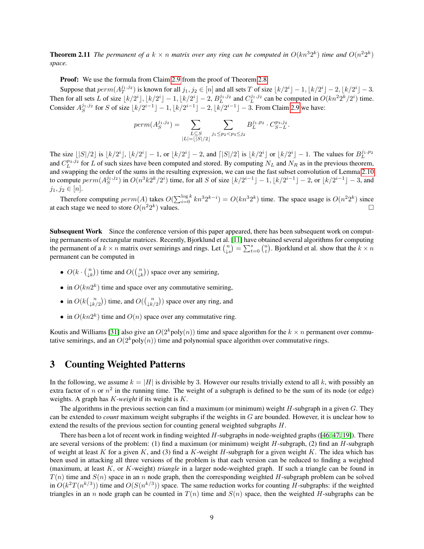**Theorem 2.11** The permanent of a  $k \times n$  matrix over any ring can be computed in  $O(kn^32^k)$  time and  $O(n^22^k)$ *space.*

Proof: We use the formula from Claim [2.9](#page-5-0) from the proof of Theorem [2.8.](#page-5-1)

Suppose that  $perm(A_T^{j_1,j_2})$  is known for all  $j_1, j_2 \in [n]$  and all sets T of size  $\lfloor k/2^i \rfloor - 1, \lfloor k/2^i \rfloor - 2, \lfloor k/2^i \rfloor - 3$ . Then for all sets L of size  $\lfloor k/2^i \rfloor$ ,  $\lfloor k/2^i \rfloor - 1$ ,  $\lfloor k/2^i \rfloor - 2$ ,  $B_L^{j_1, j_2}$  and  $C_L^{j_1, j_2}$  can be computed in  $O(kn^22^k/2^i)$  time. Consider  $A_S^{j_1, j_2}$  for S of size  $\lfloor k/2^{i-1} \rfloor - 1$ ,  $\lfloor k/2^{i-1} \rfloor - 2$ ,  $\lfloor k/2^{i-1} \rfloor - 3$ . From Claim [2.9](#page-5-0) we have:

$$
perm(A_S^{j_1,j_2}) = \sum_{\substack{L \subseteq S \\ |L| = \lfloor |S|/2 \rfloor}} \sum_{j_1 \leq p_2 < p_3 \leq j_2} B_L^{j_1,p_2} \cdot C_{S-L}^{p_3,j_2}.
$$

The size  $\lfloor |S|/2 \rfloor$  is  $\lfloor k/2^{i} \rfloor$ ,  $\lfloor k/2^{i} \rfloor - 1$ , or  $\lfloor k/2^{i} \rfloor - 2$ , and  $\lfloor |S|/2 \rfloor$  is  $\lfloor k/2^{i} \rfloor$  or  $\lfloor k/2^{i} \rfloor - 1$ . The values for  $B_L^{j_1, p_2}$ and  $C_L^{p_3,j_2}$  for L of such sizes have been computed and stored. By computing  $N_L$  and  $N_R$  as in the previous theorem, and swapping the order of the sums in the resulting expression, we can use the fast subset convolution of Lemma [2.10](#page-6-0) to compute  $perm(A_S^{j_1,j_2})$  in  $O(n^3k2^k/2^i)$  time, for all S of size  $\lfloor k/2^{i-1} \rfloor - 1, \lfloor k/2^{i-1} \rfloor - 2$ , or  $\lfloor k/2^{i-1} \rfloor - 3$ , and  $j_1, j_2 \in [n]$ .

Therefore computing  $perm(A)$  takes  $O(\sum_{i=0}^{\log k} kn^3 2^{k-i}) = O(kn^3 2^k)$  time. The space usage is  $O(n^2 2^k)$  since at each stage we need to store  $O(n^22^k)$ ) values.  $\Box$ 

Subsequent Work Since the conference version of this paper appeared, there has been subsequent work on computing permanents of rectangular matrices. Recently, Bjorklund et al. [\[11\]](#page-17-10) have obtained several algorithms for computing the permanent of a  $k \times n$  matrix over semirings and rings. Let  $\binom{n}{\downarrow s} = \sum_{t=0}^{s} \binom{n}{t}$ . Bjorklund et al. show that the  $k \times n$ permanent can be computed in

- $O(k \cdot {n \choose \downarrow k})$  time and  $O({n \choose \downarrow k})$  space over any semiring,
- in  $O(kn2^k)$  time and space over any commutative semiring,
- in  $O(k\binom{n}{\downarrow k/2})$  time, and  $O(\binom{n}{\downarrow k/2})$  space over any ring, and
- in  $O(kn2^k)$  time and  $O(n)$  space over any commutative ring.

Koutis and Williams [\[31\]](#page-18-12) also give an  $O(2^k \text{poly}(n))$  time and space algorithm for the  $k \times n$  permanent over commutative semirings, and an  $O(2^k \text{poly}(n))$  time and polynomial space algorithm over commutative rings.

### 3 Counting Weighted Patterns

In the following, we assume  $k = |H|$  is divisible by 3. However our results trivially extend to all k, with possibly an extra factor of n or  $n^2$  in the running time. The weight of a subgraph is defined to be the sum of its node (or edge) weights. A graph has K*-weight* if its weight is K.

The algorithms in the previous section can find a maximum (or minimum) weight  $H$ -subgraph in a given  $G$ . They can be extended to *count* maximum weight subgraphs if the weights in G are bounded. However, it is unclear how to extend the results of the previous section for counting general weighted subgraphs  $H$ .

There has been a lot of recent work in finding weighted  $H$ -subgraphs in node-weighted graphs ([\[46,](#page-19-3) [47,](#page-19-4) [19\]](#page-18-4)). There are several versions of the problem: (1) find a maximum (or minimum) weight  $H$ -subgraph, (2) find an  $H$ -subgraph of weight at least K for a given K, and (3) find a K-weight H-subgraph for a given weight K. The idea which has been used in attacking all three versions of the problem is that each version can be reduced to finding a weighted (maximum, at least K, or K-weight) *triangle* in a larger node-weighted graph. If such a triangle can be found in  $T(n)$  time and  $S(n)$  space in an n node graph, then the corresponding weighted H-subgraph problem can be solved in  $O(k^2T(n^{k/3}))$  time and  $O(S(n^{k/3}))$  space. The same reduction works for counting H-subgraphs: if the weighted triangles in an n node graph can be counted in  $T(n)$  time and  $S(n)$  space, then the weighted H-subgraphs can be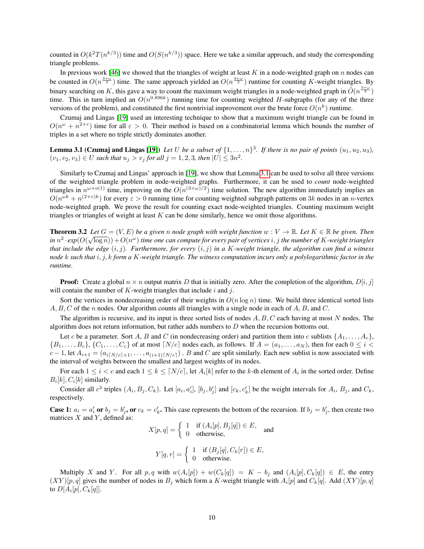counted in  $O(k^2T(n^{k/3}))$  time and  $O(S(n^{k/3}))$  space. Here we take a similar approach, and study the corresponding triangle problems.

In previous work [\[46\]](#page-19-3) we showed that the triangles of weight at least  $K$  in a node-weighted graph on  $n$  nodes can be counted in  $O(n^{\frac{3+\omega}{2}})$  time. The same approach yielded an  $O(n^{\frac{3+\omega}{2}})$  runtime for counting K-weight triangles. By binary searching on K, this gave a way to count the maximum weight triangles in a node-weighted graph in  $\tilde{O}(n^{\frac{3+\omega}{2}})$ time. This in turn implied an  $O(n^{0.896k})$  running time for counting weighted H-subgraphs (for any of the three versions of the problem), and constituted the first nontrivial improvement over the brute force  $O(n^k)$  runtime.

<span id="page-9-0"></span>Czumaj and Lingas [\[19\]](#page-18-4) used an interesting technique to show that a maximum weight triangle can be found in  $O(n^{\omega} + n^{2+\epsilon})$  time for all  $\epsilon > 0$ . Their method is based on a combinatorial lemma which bounds the number of triples in a set where no triple strictly dominates another.

**Lemma 3.1 (Czumaj and Lingas [\[19\]](#page-18-4))** Let U be a subset of  $\{1,\ldots,n\}^3$ . If there is no pair of points  $(u_1, u_2, u_3)$ ,  $(v_1, v_2, v_3) \in U$  such that  $u_j > v_j$  for all  $j = 1, 2, 3$ , then  $|U| \leq 3n^2$ .

Similarly to Czumaj and Lingas' approach in [\[19\]](#page-18-4), we show that Lemma [3.1](#page-9-0) can be used to solve all three versions of the weighted triangle problem in node-weighted graphs. Furthermore, it can be used to *count* node-weighted triangles in  $n^{\omega+o(1)}$  time, improving on the  $O(n^{(3+\omega)/2})$  time solution. The new algorithm immediately implies an  $O(n^{\omega k} + n^{(2+\epsilon)k})$  for every  $\epsilon > 0$  running time for counting weighted subgraph patterns on  $3k$  nodes in an *n*-vertex node-weighted graph. We prove the result for counting exact node-weighted triangles. Counting maximum weight triangles or triangles of weight at least  $K$  can be done similarly, hence we omit those algorithms.

<span id="page-9-1"></span>**Theorem 3.2** *Let*  $G = (V, E)$  *be a given n node graph with weight function*  $w : V \to \mathbb{R}$ *. Let*  $K \in \mathbb{R}$  *be given. Then*  $\sin n^2 \cdot \exp(O(\sqrt{\log n})) + O(n^{\omega})$  *time one can compute for every pair of vertices*  $i, j$  *the number of K-weight triangles that include the edge* (i, j)*. Furthermore, for every* (i, j) *in a* K*-weight triangle, the algorithm can find a witness node* k *such that* i, j, k *form a* K*-weight triangle. The witness computation incurs only a polylogarithmic factor in the runtime.*

**Proof:** Create a global  $n \times n$  output matrix D that is initially zero. After the completion of the algorithm,  $D[i, j]$ will contain the number of  $K$ -weight triangles that include  $i$  and  $j$ .

Sort the vertices in nondecreasing order of their weights in  $O(n \log n)$  time. We build three identical sorted lists  $A, B, C$  of the n nodes. Our algorithm counts all triangles with a single node in each of  $A, B$ , and  $C$ .

The algorithm is recursive, and its input is three sorted lists of nodes  $A, B, C$  each having at most N nodes. The algorithm does not return information, but rather adds numbers to  $D$  when the recursion bottoms out.

Let c be a parameter. Sort A, B and C (in nondecreasing order) and partition them into c sublists  $\{A_1, \ldots, A_c\}$  $\{B_1,\ldots,B_c\},\{C_1,\ldots,C_c\}$  of at most  $[N/c]$  nodes each, as follows. If  $A = (a_1,\ldots,a_N)$ , then for each  $0 \leq i <$  $c-1$ , let  $A_{i+1} = (a_{i\lceil N/c\rceil+1}, \ldots, a_{(i+1)\lceil N/c\rceil})$ . B and C are split similarly. Each new sublist is now associated with the interval of weights between the smallest and largest weights of its nodes.

For each  $1 \le i < c$  and each  $1 \le k \le \lceil N/c \rceil$ , let  $A_i[k]$  refer to the k-th element of  $A_i$  in the sorted order. Define  $B_i[k], C_i[k]$  similarly.

Consider all  $c^3$  triples  $(A_i, B_j, C_k)$ . Let  $[a_i, a'_i]$ ,  $[b_j, b'_j]$  and  $[c_k, c'_k]$  be the weight intervals for  $A_i$ ,  $B_j$ , and  $C_k$ , respectively.

**Case 1:**  $a_i = a'_i$  or  $b_j = b'_j$ , or  $c_k = c'_k$ . This case represents the bottom of the recursion. If  $b_j = b'_j$ , then create two matrices  $X$  and  $Y$ , defined as:

$$
X[p, q] = \begin{cases} 1 & \text{if } (A_i[p], B_j[q]) \in E, \\ 0 & \text{otherwise,} \end{cases}
$$
 and  

$$
Y[q, r] = \begin{cases} 1 & \text{if } (B_j[q], C_k[r]) \in E, \\ 0 & \text{otherwise,} \end{cases}
$$

$$
r = \begin{cases} 0 & \text{otherwise.} \end{cases}
$$

Multiply X and Y. For all  $p, q$  with  $w(A_i[p]) + w(C_k[q]) = K - b_j$  and  $(A_i[p], C_k[q]) \in E$ , the entry  $(XY)[p,q]$  gives the number of nodes in  $B_j$  which form a K-weight triangle with  $A_i[p]$  and  $C_k[q]$ . Add  $(XY)[p,q]$ to  $D[A_i[p], C_k[q]].$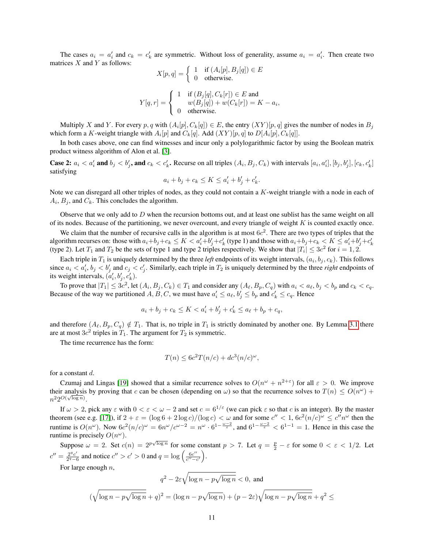The cases  $a_i = a'_i$  and  $c_k = c'_k$  are symmetric. Without loss of generality, assume  $a_i = a'_i$ . Then create two matrices  $X$  and  $Y$  as follows:

$$
X[p, q] = \begin{cases} 1 & \text{if } (A_i[p], B_j[q]) \in E \\ 0 & \text{otherwise.} \end{cases}
$$

$$
Y[q, r] = \begin{cases} 1 & \text{if } (B_j[q], C_k[r]) \in E \text{ and } \\ w(B_j[q]) + w(C_k[r]) = K - a_i, \\ 0 & \text{otherwise.} \end{cases}
$$

Multiply X and Y. For every p, q with  $(A_i[p], C_k[q]) \in E$ , the entry  $(XY)[p, q]$  gives the number of nodes in  $B_j$ which form a K-weight triangle with  $A_i[p]$  and  $C_k[q]$ . Add  $(XY)[p,q]$  to  $D[A_i[p], C_k[q]]$ .

In both cases above, one can find witnesses and incur only a polylogarithmic factor by using the Boolean matrix product witness algorithm of Alon et al. [\[3\]](#page-17-11).

**Case 2:**  $a_i < a'_i$  and  $b_j < b'_j$ , and  $c_k < c'_k$ . Recurse on all triples  $(A_i, B_j, C_k)$  with intervals  $[a_i, a'_i], [b_j, b'_j], [c_k, c'_k]$ satisfying

$$
a_i + b_j + c_k \le K \le a'_i + b'_j + c'_k.
$$

Note we can disregard all other triples of nodes, as they could not contain a  $K$ -weight triangle with a node in each of  $A_i$ ,  $B_j$ , and  $C_k$ . This concludes the algorithm.

Observe that we only add to  $D$  when the recursion bottoms out, and at least one sublist has the same weight on all of its nodes. Because of the partitioning, we never overcount, and every triangle of weight  $K$  is counted exactly once.

We claim that the number of recursive calls in the algorithm is at most  $6c^2$ . There are two types of triples that the algorithm recurses on: those with  $a_i+b_j+c_k \leq K < a'_i+b'_j+c'_k$  (type 1) and those with  $a_i+b_j+c_k < K \leq a'_i+b'_j+c'_k$ (type 2). Let  $T_1$  and  $T_2$  be the sets of type 1 and type 2 triples respectively. We show that  $|T_i| \leq 3c^2$  for  $i = 1, 2$ .

Each triple in  $T_1$  is uniquely determined by the three *left* endpoints of its weight intervals,  $(a_i, b_j, c_k)$ . This follows since  $a_i < a'_i$ ,  $b_j < b'_j$  and  $c_j < c'_j$ . Similarly, each triple in  $T_2$  is uniquely determined by the three *right* endpoints of its weight intervals,  $(a'_i, b'_j, c'_k)$ .

To prove that  $|T_1| \leq 3c^2$ , let  $(A_i, B_j, C_k) \in T_1$  and consider any  $(A_\ell, B_p, C_q)$  with  $a_i < a_\ell, b_j < b_p$  and  $c_k < c_q$ . Because of the way we partitioned  $A, B, C$ , we must have  $a'_i \le a_\ell, b'_j \le b_p$  and  $c'_k \le c_q$ . Hence

$$
a_i + b_j + c_k \le K < a'_i + b'_j + c'_k \le a_\ell + b_p + c_q,
$$

and therefore  $(A_{\ell}, B_p, C_q) \notin T_1$ . That is, no triple in  $T_1$  is strictly dominated by another one. By Lemma [3.1](#page-9-0) there are at most  $3c^2$  triples in  $T_1$ . The argument for  $T_2$  is symmetric.

The time recurrence has the form:

$$
T(n) \le 6c^2 T(n/c) + dc^3(n/c)^{\omega},
$$

for a constant d.

Czumaj and Lingas [\[19\]](#page-18-4) showed that a similar recurrence solves to  $O(n^{\omega} + n^{2+\epsilon})$  for all  $\epsilon > 0$ . We improve their analysis by proving that c can be chosen (depending on  $\omega$ ) so that the recurrence solves to  $T(n) \leq O(n^{\omega})$  +  $n^2 2^{O(\sqrt{\log n})}.$ 

If  $\omega > 2$ , pick any  $\varepsilon$  with  $0 < \varepsilon < \omega - 2$  and set  $c = 6^{1/\varepsilon}$  (we can pick  $\varepsilon$  so that c is an integer). By the master theorem (see e.g. [\[17\]](#page-18-13)), if  $2 + \varepsilon = (\log 6 + 2 \log c)/(\log c) < \omega$  and for some  $c'' < 1$ ,  $6c^2(n/c)^\omega \le c''n^\omega$  then the runtime is  $O(n^{\omega})$ . Now  $6c^2(n/c)^{\omega} = 6n^{\omega}/c^{\omega-2} = n^{\omega} \cdot 6^{1-\frac{\omega-2}{\varepsilon}}$ , and  $6^{1-\frac{\omega-2}{\varepsilon}} < 6^{1-1} = 1$ . Hence in this case the runtime is precisely  $O(n^{\omega})$ .

Suppose  $\omega = 2$ . Set  $c(n) = 2^{p\sqrt{\log n}}$  for some constant  $p > 7$ . Let  $q = \frac{p}{2} - \varepsilon$  for some  $0 < \varepsilon < 1/2$ . Let  $c'' = \frac{2^q c'}{2^q - 4}$  $\frac{2^q c'}{2^q-6}$  and notice  $c'' > c' > 0$  and  $q = \log \left( \frac{6c''}{c''-6} \right)$  $\frac{6c^{\prime\prime}}{c^{\prime\prime}-c^\prime}\Big).$ 

For large enough  $n$ ,

$$
q^2 - 2\varepsilon\sqrt{\log n - p\sqrt{\log n}} < 0, \text{ and}
$$
  

$$
(\sqrt{\log n - p\sqrt{\log n}} + q)^2 = (\log n - p\sqrt{\log n}) + (p - 2\varepsilon)\sqrt{\log n - p\sqrt{\log n}} + q^2 \le
$$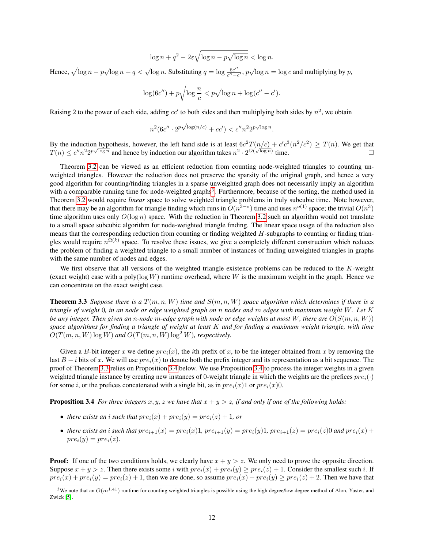$$
\log n + q^2 - 2\varepsilon \sqrt{\log n - p\sqrt{\log n}} < \log n.
$$

Hence,  $\sqrt{\log n - p\sqrt{\log n}} + q < \sqrt{\log n}$ . Substituting  $q = \log \frac{6c^n}{c^n - q}$  $\frac{6c''}{c''-c'}$ ,  $p\sqrt{\log n} = \log c$  and multiplying by p,

$$
\log(6c'') + p\sqrt{\log\frac{n}{c}} < p\sqrt{\log n} + \log(c'' - c').
$$

Raising 2 to the power of each side, adding  $cc'$  to both sides and then multiplying both sides by  $n^2$ , we obtain

$$
n^2 (6c'' \cdot 2^p \sqrt{\log(n/c)} + cc') < c'' n^2 2^p \sqrt{\log n}.
$$

By the induction hypothesis, however, the left hand side is at least  $6c^2T(n/c) + c'c^3(n^2/c^2) \ge T(n)$ . We get that By the induction hypothesis, nowever, the felt hand side is at least of  $T(h/e) + e e^{\lambda h}/e^{\lambda h} \geq T(h)$ . We get that  $T(n) \leq e^{n} n^2 2^{p\sqrt{\log n}}$  and hence by induction our algorithm takes  $n^2 \cdot 2^{O(\sqrt{\log n})}$  time.

Theorem [3.2](#page-9-1) can be viewed as an efficient reduction from counting node-weighted triangles to counting unweighted triangles. However the reduction does not preserve the sparsity of the original graph, and hence a very good algorithm for counting/finding triangles in a sparse unweighted graph does not necessarily imply an algorithm with a comparable running time for node-weighted graphs<sup>[3](#page-11-0)</sup>. Furthermore, because of the sorting, the method used in Theorem [3.2](#page-9-1) would require *linear* space to solve weighted triangle problems in truly subcubic time. Note however, that there may be an algorithm for triangle finding which runs in  $O(n^{3-\epsilon})$  time and uses  $n^{o(1)}$  space; the trivial  $O(n^3)$ time algorithm uses only  $O(\log n)$  space. With the reduction in Theorem [3.2](#page-9-1) such an algorithm would not translate to a small space subcubic algorithm for node-weighted triangle finding. The linear space usage of the reduction also means that the corresponding reduction from counting or finding weighted  $H$ -subgraphs to counting or finding triangles would require  $n^{\Omega(k)}$  space. To resolve these issues, we give a completely different construction which reduces the problem of finding a weighted triangle to a small number of instances of finding unweighted triangles in graphs with the same number of nodes and edges.

We first observe that all versions of the weighted triangle existence problems can be reduced to the K-weight (exact weight) case with a poly( $log W$ ) runtime overhead, where W is the maximum weight in the graph. Hence we can concentrate on the exact weight case.

<span id="page-11-1"></span>Theorem 3.3 *Suppose there is a* T(m, n, W) *time and* S(m, n, W) *space algorithm which determines if there is a triangle of weight* 0*, in an node or edge weighted graph on* n *nodes and* m *edges with maximum weight* W*. Let* K *be any integer. Then given an n-node* m-edge graph with node or edge weights at most W, there are  $O(S(m, n, W))$ *space algorithms for finding a triangle of weight at least* K *and for finding a maximum weight triangle, with time*  $O(T(m, n, W) \log W)$  and  $O(T(m, n, W) \log^2 W)$ *, respectively.* 

Given a B-bit integer x we define  $pre_i(x)$ , the *i*th prefix of x, to be the integer obtained from x by removing the last  $B - i$  bits of x. We will use  $pre_i(x)$  to denote both the prefix integer and its representation as a bit sequence. The proof of Theorem [3.3](#page-11-1) relies on Proposition [3.4](#page-11-2) below. We use Proposition [3.4](#page-11-2) to process the integer weights in a given weighted triangle instance by creating new instances of 0-weight triangle in which the weights are the prefices  $pre_i(\cdot)$ for some *i*, or the prefices concatenated with a single bit, as in  $pre<sub>i</sub>(x)1$  or  $pre<sub>i</sub>(x)0$ .

<span id="page-11-2"></span>**Proposition 3.4** *For three integers*  $x, y, z$  *we have that*  $x + y > z$ *, if and only if one of the following holds:* 

- *there exists an i such that*  $pre<sub>i</sub>(x) + pre<sub>i</sub>(y) = pre<sub>i</sub>(z) + 1$ *, or*
- there exists an *i* such that  $pre_{i+1}(x) = pre_i(x)1$ ,  $pre_{i+1}(y) = pre_i(y)1$ ,  $pre_{i+1}(z) = pre_i(z)0$  and  $pre_i(x) +$  $pre_i(y) = pre_i(z)$ .

**Proof:** If one of the two conditions holds, we clearly have  $x + y > z$ . We only need to prove the opposite direction. Suppose  $x + y > z$ . Then there exists some i with  $pre_i(x) + pre_i(y) \ge pre_i(z) + 1$ . Consider the smallest such i. If  $pre_i(x) + pre_i(y) = pre_i(z) + 1$ , then we are done, so assume  $pre_i(x) + pre_i(y) \ge pre_i(z) + 2$ . Then we have that

<span id="page-11-0"></span><sup>&</sup>lt;sup>3</sup>We note that an  $O(m^{1.41})$  runtime for counting weighted triangles is possible using the high degree/low degree method of Alon, Yuster, and Zwick [\[5\]](#page-17-7).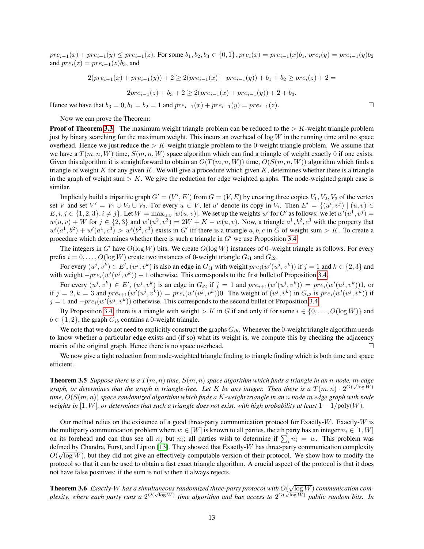$pre_{i-1}(x) + pre_{i-1}(y) \le pre_{i-1}(z)$ . For some  $b_1, b_2, b_3 \in \{0, 1\}$ ,  $pre_i(x) = pre_{i-1}(x)b_1$ ,  $pre_i(y) = pre_{i-1}(y)b_2$ and  $pre_i(z) = pre_{i-1}(z)b_3$ , and

$$
2(pr e_{i-1}(x) + pre_{i-1}(y)) + 2 \ge 2(pr e_{i-1}(x) + pre_{i-1}(y)) + b_1 + b_2 \ge pre_i(z) + 2 =
$$
  

$$
2pre_{i-1}(z) + b_3 + 2 \ge 2(pr e_{i-1}(x) + pre_{i-1}(y)) + 2 + b_3.
$$

Hence we have that  $b_3 = 0$ ,  $b_1 = b_2 = 1$  and  $pre_{i-1}(x) + pre_{i-1}(y) = pre_{i-1}(z)$ .

Now we can prove the Theorem:

**Proof of Theorem [3.3.](#page-11-1)** The maximum weight triangle problem can be reduced to the  $> K$ -weight triangle problem just by binary searching for the maximum weight. This incurs an overhead of  $\log W$  in the running time and no space overhead. Hence we just reduce the  $> K$ -weight triangle problem to the 0-weight triangle problem. We assume that we have a  $T(m, n, W)$  time,  $S(m, n, W)$  space algorithm which can find a triangle of weight exactly 0 if one exists. Given this algorithm it is straightforward to obtain an  $O(T(m, n, W))$  time,  $O(S(m, n, W))$  algorithm which finds a triangle of weight K for any given K. We will give a procedure which given K, determines whether there is a triangle in the graph of weight sum  $> K$ . We give the reduction for edge weighted graphs. The node-weighted graph case is similar.

Implicitly build a tripartite graph  $G' = (V', E')$  from  $G = (V, E)$  by creating three copies  $V_1, V_2, V_3$  of the vertex set V and set  $V' = V_1 \cup V_2 \cup V_3$ . For every  $u \in V$ , let  $u^i$  denote its copy in  $V_i$ . Then  $E' = \{(u^i, v^j) \mid (u, v) \in$  $E, i, j \in \{1, 2, 3\}, i \neq j\}$ . Let  $W = \max_{u,v} |w(u,v)|$ . We set up the weights  $w'$  for  $G'$  as follows: we let  $w'(u^1, v^j) =$  $w(u, v) + W$  for  $j \in \{2, 3\}$  and  $w'(u^2, v^3) = 2W + K - w(u, v)$ . Now, a triangle  $a^1, b^2, c^3$  with the property that  $w'(a^1, b^2) + w'(a^1, c^3) > w'(b^2, c^3)$  exists in G' iff there is a triangle  $a, b, c$  in G of weight sum > K. To create a procedure which determines whether there is such a triangle in  $G'$  we use Proposition [3.4.](#page-11-2)

The integers in G' have  $O(\log W)$  bits. We create  $O(\log W)$  instances of 0–weight triangle as follows. For every prefix  $i = 0, \ldots, O(\log W)$  create two instances of 0-weight triangle  $G_{i1}$  and  $G_{i2}$ .

For every  $(u^j, v^k) \in E'$ ,  $(u^j, v^k)$  is also an edge in  $G_{i1}$  with weight  $pre_i(w'(u^j, v^k))$  if  $j = 1$  and  $k \in \{2, 3\}$  and with weight  $-pre_i(w'(u^j, v^k)) - 1$  otherwise. This corresponds to the first bullet of Proposition [3.4.](#page-11-2)

For every  $(u^j, v^k) \in E'$ ,  $(u^j, v^k)$  is an edge in  $G_{i2}$  if  $j = 1$  and  $pre_{i+1}(w'(u^j, v^k)) = pre_i(w'(u^j, v^k))1$ , or if  $j = 2, k = 3$  and  $pre_{i+1}(w'(u^j, v^k)) = pre_i(w'(u^j, v^k))$ 0. The weight of  $(u^j, v^k)$  in  $G_{i2}$  is  $pre_i(w'(u^j, v^k))$  if  $j = 1$  and  $-pre_i(w'(u^j, v^k))$  otherwise. This corresponds to the second bullet of Proposition [3.4.](#page-11-2)

By Proposition [3.4,](#page-11-2) there is a triangle with weight > K in G if and only if for some  $i \in \{0, \ldots, O(\log W)\}\$  and  $b \in \{1, 2\}$ , the graph  $G_{ib}$  contains a 0-weight triangle.

We note that we do not need to explicitly construct the graphs  $G_{ib}$ . Whenever the 0-weight triangle algorithm needs to know whether a particular edge exists and (if so) what its weight is, we compute this by checking the adjacency matrix of the original graph. Hence there is no space overhead.

We now give a tight reduction from node-weighted triangle finding to triangle finding which is both time and space efficient.

<span id="page-12-1"></span>**Theorem 3.5** Suppose there is a  $T(m, n)$  time,  $S(m, n)$  space algorithm which finds a triangle in an n-node,  $m$ -edge graph, or determines that the graph is triangle-free. Let K be any integer. Then there is a  $T(m, n) \cdot 2^{O(\sqrt{\log W})}$ *time,* O(S(m, n)) *space randomized algorithm which finds a* K*-weight triangle in an* n *node* m *edge graph with node weights in*  $[1, W]$ *, or determines that such a triangle does not exist, with high probability at least*  $1 - 1$ /poly(*W*).

Our method relies on the existence of a good three-party communication protocol for Exactly-W. Exactly-W is the multiparty communication problem where  $w \in [W]$  is known to all parties, the *i*th party has an integer  $n_i \in [1, W]$ on its forehead and can thus see all  $n_j$  but  $n_i$ ; all parties wish to determine if  $\sum_i n_i = w$ . This problem was defined by Chandra, Furst, and Lipton [\[13\]](#page-17-12). They showed that Exactly-W has three-party communication complexity  $\sim$  $O(\sqrt{\log W})$ , but they did not give an effectively computable version of their protocol. We show how to modify the protocol so that it can be used to obtain a fast exact triangle algorithm. A crucial aspect of the protocol is that it does not have false positives: if the sum is not  $w$  then it always rejects.

<span id="page-12-0"></span>**Theorem 3.6** Exactly-W has a simultaneous randomized three-party protocol with  $O(\sqrt{\log W})$  communication com*plexity, where each party runs a*  $2^{O(\sqrt{\log W})}$  *time algorithm and has access to*  $2^{O(\sqrt{\log W})}$  *public random bits. In plexity, where each party runs a*  $2^{O(\sqrt{\log W})}$  *ime algorithm and has access to*  $2^{O(\sqrt{\log W})}$  *pu*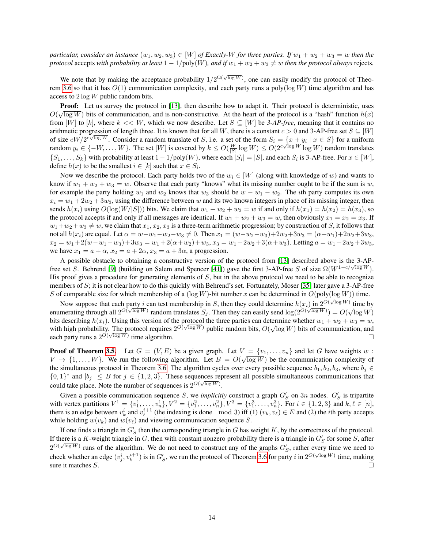*particular, consider an instance*  $(w_1, w_2, w_3) \in [W]$  *of Exactly-W for three parties. If*  $w_1 + w_2 + w_3 = w$  *then the protocol* accepts *with probability at least*  $1 - 1/poly(W)$ *, and if*  $w_1 + w_2 + w_3 \neq w$  *then the protocol always* rejects.

We note that by making the acceptance probability  $1/2^{\Omega(\sqrt{\log W})}$ , one can easily modify the protocol of Theo-rem [3.6](#page-12-0) so that it has  $O(1)$  communication complexity, and each party runs a poly( $\log W$ ) time algorithm and has access to 2 log W public random bits.

**Proof:** Let us survey the protocol in [\[13\]](#page-17-12), then describe how to adapt it. Their protocol is deterministic, uses **Proof:** Let us survey the protocol in [15], then describe now to adapt it. Their protocol is deterministic, uses  $O(\sqrt{\log W})$  bits of communication, and is non-constructive. At the heart of the protocol is a "hash" function from  $[W]$  to  $[k]$ , where  $k \ll W$ , which we now describe. Let  $S \subseteq [W]$  be 3-AP-free, meaning that it contains no arithmetic progression of length three. It is known that for all W, there is a constant  $c > 0$  and 3-AP-free set  $S \subseteq [W]$ of size  $cW/2^{c\sqrt{\log W}}$ . Consider a random translate of S, i.e. a set of the form  $S_i = \{x + y_i \mid x \in S\}$  for a uniform random  $y_i \in \{-W, \ldots, W\}$ . The set  $[W]$  is covered by  $k \le O(\frac{W}{|S|} \log W) \le O(2^{c\sqrt{\log W}} \log W)$  random translates  $\{S_1, \ldots, S_k\}$  with probability at least  $1 - 1/\text{poly}(W)$ , where each  $|S_i| = |S|$ , and each  $S_i$  is 3-AP-free. For  $x \in [W]$ , define  $h(x)$  to be the smallest  $i \in [k]$  such that  $x \in S_i$ .

Now we describe the protocol. Each party holds two of the  $w_i \in [W]$  (along with knowledge of w) and wants to know if  $w_1 + w_2 + w_3 = w$ . Observe that each party "knows" what its missing number ought to be if the sum is w, for example the party holding  $w_1$  and  $w_2$  knows that  $w_3$  should be  $w - w_1 - w_2$ . The *i*th party computes its own  $x_i = w_1 + 2w_2 + 3w_3$ , using the difference between w and its two known integers in place of its missing integer, then sends  $h(x_i)$  using  $O(log(W/|S|))$  bits. We claim that  $w_1 + w_2 + w_3 = w$  if and only if  $h(x_1) = h(x_2) = h(x_3)$ , so the protocol accepts if and only if all messages are identical. If  $w_1 + w_2 + w_3 = w$ , then obviously  $x_1 = x_2 = x_3$ . If  $w_1+w_2+w_3 \neq w$ , we claim that  $x_1, x_2, x_3$  is a three-term arithmetic progression; by construction of S, it follows that not all  $h(x_i)$  are equal. Let  $\alpha = w - w_1 - w_2 - w_3 \neq 0$ . Then  $x_1 = (w - w_2 - w_3) + 2w_2 + 3w_3 = (\alpha + w_1) + 2w_2 + 3w_3$ ,  $x_2 = w_1 + 2(w - w_1 - w_3) + 3w_3 = w_1 + 2(\alpha + w_2) + w_3$ ,  $x_3 = w_1 + 2w_2 + 3(\alpha + w_3)$ . Letting  $a = w_1 + 2w_2 + 3w_3$ , we have  $x_1 = a + \alpha$ ,  $x_2 = a + 2\alpha$ ,  $x_3 = a + 3\alpha$ , a progression.

A possible obstacle to obtaining a constructive version of the protocol from [\[13\]](#page-17-12) described above is the 3-AP-Free set S. Behrend [\[9\]](#page-17-13) (building on Salem and Spencer [\[41\]](#page-19-12)) gave the first 3-AP-free S of size  $\Omega(W^{1-c/\sqrt{\log W}})$ . His proof gives a procedure for generating elements of  $S$ , but in the above protocol we need to be able to recognize members of S; it is not clear how to do this quickly with Behrend's set. Fortunately, Moser [\[35\]](#page-18-14) later gave a 3-AP-free S of comparable size for which membership of a ( $log W$ )-bit number x can be determined in  $O(poly(log W))$  time.

Now suppose that each party i can test membership in S, then they could determine  $h(x_i)$  in  $2^{O(\sqrt{\log W})}$  time by  $\frac{1}{2} \log \frac{N}{\sqrt{\log W}}$  is  $\frac{1}{2} \log \frac{N}{\sqrt{\log W}}$ . enumerating through all  $2^{O(\sqrt{\log W})}$  random translates  $S_j$ . Then they can easily send  $\log(2^{O(\sqrt{\log W})}) = O(\sqrt{\log W})$ bits describing  $h(x_i)$ . Using this version of the protocol the three parties can determine whether  $w_1 + w_2 + w_3 = w$ , bits describing  $h(x_i)$ . Using this version of the protocol the three parties can determine whether  $w_1 + w_2 + w_3 = w$ , with high probability. The protocol requires  $2^{O(\sqrt{\log W})}$  public random bits,  $O(\sqrt{\log W})$  bits of communica with ligh probability. The protocol requires  $2^{(N-2)}$  public random bits,  $O(\sqrt{\log W})$  bits of communication, and each party runs a  $2^{O(\sqrt{\log W})}$  time algorithm.

**Proof of Theorem [3.5.](#page-12-1)** Let  $G = (V, E)$  be a given graph. Let  $V = \{v_1, \ldots, v_n\}$  and let G have weights w :  $V \to \{1, \ldots, W\}$ . We run the following algorithm. Let  $B = O(\sqrt{\log W})$  be the communication complexity of the simultaneous protocol in Theorem [3.6.](#page-12-0) The algorithm cycles over every possible sequence  $b_1, b_2, b_3$ , where  $b_j \in$  $\{0,1\}^*$  and  $|b_j| \leq B$  for  $j \in \{1,2,3\}$ . These sequences represent all possible simultaneous communications that could take place. Note the number of sequences is  $2^{O(\sqrt{\log W})}$ .

Given a possible communication sequence S, we *implicitly* construct a graph  $G'_S$  on 3n nodes.  $G'_S$  is tripartite with vertex partitions  $V^1 = \{v_1^1, \ldots, v_n^1\}, V^2 = \{v_1^2, \ldots, v_n^2\}, V^3 = \{v_1^3, \ldots, v_n^3\}.$  For  $i \in \{1, 2, 3\}$  and  $k, \ell \in [n],$ there is an edge between  $v_k^i$  and  $v_\ell^{i+1}$  (the indexing is done mod 3) iff (1)  $(v_k, v_\ell) \in E$  and (2) the *i*th party accepts while holding  $w(v_k)$  and  $w(v_\ell)$  and viewing communication sequence S.

If one finds a triangle in  $G'_S$  then the corresponding triangle in G has weight K, by the correctness of the protocol. If there is a K-weight triangle in G, then with constant nonzero probability there is a triangle in  $G'_S$  for some S, after  $2^{O(\sqrt{\log W})}$  runs of the algorithm. We do not need to construct any of the graphs  $G'_S$ , rather every time we need to check whether an edge  $(v_j^i, v_k^{i+1})$  is in  $G_S'$ , we run the protocol of Theorem [3.6](#page-12-0) for party i in  $2^{O(\sqrt{\log W})}$  time, making sure it matches  $S$ .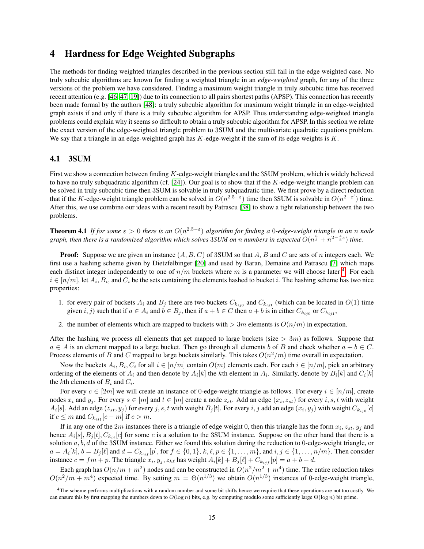### 4 Hardness for Edge Weighted Subgraphs

The methods for finding weighted triangles described in the previous section still fail in the edge weighted case. No truly subcubic algorithms are known for finding a weighted triangle in an *edge-weighted* graph, for any of the three versions of the problem we have considered. Finding a maximum weight triangle in truly subcubic time has received recent attention (e.g. [\[46,](#page-19-3) [47,](#page-19-4) [19\]](#page-18-4)) due to its connection to all pairs shortest paths (APSP). This connection has recently been made formal by the authors [\[48\]](#page-19-5): a truly subcubic algorithm for maximum weight triangle in an edge-weighted graph exists if and only if there is a truly subcubic algorithm for APSP. Thus understanding edge-weighted triangle problems could explain why it seems so difficult to obtain a truly subcubic algorithm for APSP. In this section we relate the exact version of the edge-weighted triangle problem to 3SUM and the multivariate quadratic equations problem. We say that a triangle in an edge-weighted graph has  $K$ -edge-weight if the sum of its edge weights is  $K$ .

#### 4.1 3SUM

First we show a connection between finding K-edge-weight triangles and the 3SUM problem, which is widely believed to have no truly subquadratic algorithm (cf.  $[24]$ ). Our goal is to show that if the K-edge-weight triangle problem can be solved in truly subcubic time then 3SUM is solvable in truly subquadratic time. We first prove by a direct reduction that if the K-edge-weight triangle problem can be solved in  $O(n^{2.5-\epsilon})$  time then 3SUM is solvable in  $O(n^{2-\epsilon'})$  time. After this, we use combine our ideas with a recent result by Patrascu [\[38\]](#page-19-6) to show a tight relationship between the two problems.

**Theorem 4.1** If for some  $\varepsilon > 0$  there is an  $O(n^{2.5-\varepsilon})$  algorithm for finding a 0-edge-weight triangle in an n node graph, then there is a randomized algorithm which solves  $3SUM$  on *n* numbers in expected  $O(n^{\frac{8}{5}}+n^{2-\frac{4}{5}\epsilon})$  time.

**Proof:** Suppose we are given an instance  $(A, B, C)$  of 3SUM so that A, B and C are sets of n integers each. We first use a hashing scheme given by Dietzfelbinger [\[20\]](#page-18-16) and used by Baran, Demaine and Patrascu [\[7\]](#page-17-6) which maps each distinct integer independently to one of  $n/m$  buckets where m is a parameter we will choose later <sup>[4](#page-14-0)</sup>. For each  $i \in [n/m]$ , let  $A_i, B_i$ , and  $C_i$  be the sets containing the elements hashed to bucket i. The hashing scheme has two nice properties:

- 1. for every pair of buckets  $A_i$  and  $B_j$  there are two buckets  $C_{k_{ij0}}$  and  $C_{k_{ij1}}$  (which can be located in  $O(1)$  time given  $i, j$ ) such that if  $a \in A_i$  and  $b \in B_j$ , then if  $a + b \in C$  then  $a + b$  is in either  $C_{k_{ij0}}$  or  $C_{k_{ij1}}$ ,
- 2. the number of elements which are mapped to buckets with  $> 3m$  elements is  $O(n/m)$  in expectation.

After the hashing we process all elements that get mapped to large buckets (size  $> 3m$ ) as follows. Suppose that  $a \in A$  is an element mapped to a large bucket. Then go through all elements b of B and check whether  $a + b \in C$ . Process elements of B and C mapped to large buckets similarly. This takes  $O(n^2/m)$  time overall in expectation.

Now the buckets  $A_i, B_i, C_i$  for all  $i \in [n/m]$  contain  $O(m)$  elements each. For each  $i \in [n/m]$ , pick an arbitrary ordering of the elements of  $A_i$  and then denote by  $A_i[k]$  the kth element in  $A_i$ . Similarly, denote by  $B_i[k]$  and  $C_i[k]$ the *k*th elements of  $B_i$  and  $C_i$ .

For every  $c \in [2m]$  we will create an instance of 0-edge-weight triangle as follows. For every  $i \in [n/m]$ , create nodes  $x_i$  and  $y_j$ . For every  $s \in [m]$  and  $t \in [m]$  create a node  $z_{st}$ . Add an edge  $(x_i, z_{st})$  for every  $i, s, t$  with weight  $A_i[s]$ . Add an edge  $(z_{st}, y_j)$  for every  $j, s, t$  with weight  $B_j[t]$ . For every  $i, j$  add an edge  $(x_i, y_j)$  with weight  $C_{k_{ij0}}[c]$ if  $c \leq m$  and  $C_{k_{ij}1}[c-m]$  if  $c > m$ .

If in any one of the  $2m$  instances there is a triangle of edge weight 0, then this triangle has the form  $x_i$ ,  $z_{st}$ ,  $y_j$  and hence  $A_i[s], B_j[t], C_{k_{ij}}[c]$  for some c is a solution to the 3SUM instance. Suppose on the other hand that there is a solution  $a, b, d$  of the 3SUM instance. Either we found this solution during the reduction to 0-edge-weight triangle, or  $a = A_i[k], b = B_j[\ell]$  and  $d = C_{k_{i,j}f}[p]$ , for  $f \in \{0,1\}$ ,  $k, \ell, p \in \{1, \ldots, m\}$ , and  $i, j \in \{1, \ldots, n/m\}$ . Then consider instance  $c = fm + p$ . The triangle  $x_i, y_j, z_{k\ell}$  has weight  $A_i[k] + B_j[\ell] + C_{k_{i,j}f}[p] = a + b + d$ .

Each graph has  $O(n/m + m^2)$  nodes and can be constructed in  $O(n^2/m^2 + m^4)$  time. The entire reduction takes  $O(n^2/m + m^4)$  expected time. By setting  $m = \Theta(n^{1/3})$  we obtain  $O(n^{1/3})$  instances of 0-edge-weight triangle,

<span id="page-14-0"></span><sup>4</sup>The scheme performs multiplications with a random number and some bit shifts hence we require that these operations are not too costly. We can ensure this by first mapping the numbers down to  $O(\log n)$  bits, e.g. by computing modulo some sufficiently large  $\Theta(\log n)$  bit prime.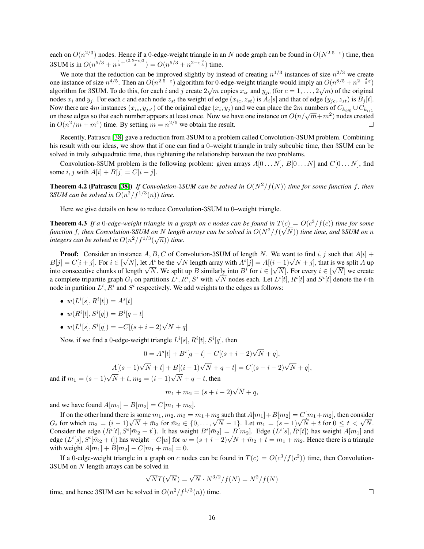each on  $O(n^{2/3})$  nodes. Hence if a 0-edge-weight triangle in an N node graph can be found in  $O(N^{2.5-\epsilon})$  time, then 3SUM is in  $O(n^{5/3} + n^{\frac{1}{3} + \frac{(2.5 - \varepsilon)2}{3}}) = O(n^{5/3} + n^{2 - \varepsilon \frac{2}{3}})$  time.

We note that the reduction can be improved slightly by instead of creating  $n^{1/3}$  instances of size  $n^{2/3}$  we create one instance of size  $n^{4/5}$ . Then an  $O(n^{2.5-\epsilon})$  algorithm for 0-edge-weight triangle would imply an  $O(n^{8/5}+n^{2-\frac{4}{5}\epsilon})$ algorithm for 3SUM. To do this, for each i and j create  $2\sqrt{m}$  copies  $x_{ic}$  and  $y_{jc}$  (for  $c=1,\ldots,2\sqrt{m}$ ) of the original nodes  $x_i$  and  $y_j$ . For each c and each node  $z_{st}$  the weight of edge  $(x_i, z_{st})$  is  $A_i[s]$  and that of edge  $(y_j, z_{st})$  is  $B_j[t]$ . Now there are  $4m$  instances  $(x_{ic}, y_{jc})$  of the original edge  $(x_i, y_j)$  and we can place the  $2m$  numbers of  $C_{k_{ij0}} \cup C_{k_{ij1}}$ From these edges so that each number appears at least once. Now we have one instance on  $O(n/\sqrt{m}+m^2)$  nodes created in  $O(n^2/m + m^4)$  time. By setting  $m = n^{2/5}$  we obtain the result.

Recently, Patrascu [\[38\]](#page-19-6) gave a reduction from 3SUM to a problem called Convolution-3SUM problem. Combining his result with our ideas, we show that if one can find a 0–weight triangle in truly subcubic time, then 3SUM can be solved in truly subquadratic time, thus tightening the relationship between the two problems.

Convolution-3SUM problem is the following problem: given arrays  $A[0 \dots N]$ ,  $B[0 \dots N]$  and  $C[0 \dots N]$ , find some i, j with  $A[i] + B[j] = C[i + j]$ .

**Theorem 4.2 (Patrascu [\[38\]](#page-19-6))** *If Convolution-3SUM can be solved in*  $O(N^2/f(N))$  *time for some function* f, then 3*SUM* can be solved in  $O(n^2/f^{1/3}(n))$  time.

Here we give details on how to reduce Convolution-3SUM to 0–weight triangle.

**Theorem 4.3** If a 0-edge-weight triangle in a graph on c nodes can be found in  $T(c) = O(c^3/f(c))$  time for some function f, then Convolution-3*SUM* on N length arrays can be solved in  $O(N^2/f(\sqrt{N}))$  time time, and 3*SUM* on  $n$ function f, then Convolution-550*m* on *N* tengin<br>integers can be solved in  $O(n^2/f^{1/3}(\sqrt{n}))$  time.

**Proof:** Consider an instance  $A, B, C$  of Convolution-3SUM of length N. We want to find  $i, j$  such that  $A[i]$  + **Proof:** Consider an instance  $A, B, C$  or Convolution-3SUM or length *N*. We want to find  $i, j$  such that  $A[i] + B[j] = C[i + j]$ . For  $i \in [\sqrt{N}]$ , let  $A^i$  be the  $\sqrt{N}$  length array with  $A^i[j] = A[(i-1)\sqrt{N} + j]$ , that is we split  $B[j] = C[i + j]$ . For  $i \in [\sqrt{N}]$ , let  $A^*$  be the  $\sqrt{N}$  length array with  $A^*[j] = A[(i - 1)\sqrt{N} + j]$ , that is we split A up into consecutive chunks of length  $\sqrt{N}$ . We split up B similarly into  $B^i$  for  $i \in [\sqrt{N}]$ . For every nto consecutive chunks of length  $\sqrt{N}$ . We split up B similarly into B<sup>\*</sup> for  $i \in [\sqrt{N}]$ . For every  $i \in [\sqrt{N}]$  we create a complete tripartite graph  $G_i$  on partitions  $L^i$ ,  $R^i$ ,  $S^i$  with  $\sqrt{N}$  nodes each. Let  $L$ node in partition  $L^i$ ,  $R^i$  and  $S^i$  respectively. We add weights to the edges as follows:

- $w(L^{i}[s], R^{i}[t]) = A^{s}[t]$
- $w(R^i[t], S^i[q]) = B^i[q t]$
- $w(L^{i}[s], S^{i}[q]) = -C[(s+i-2)\sqrt{N} + q]$

Now, if we find a 0-edge-weight triangle  $L^{i}[s], R^{i}[t], S^{i}[q]$ , then

$$
0 = As[t] + Bi[q - t] - C[(s + i - 2)\sqrt{N} + q],
$$
  
 
$$
A[(s - 1)\sqrt{N} + t] + B[(i - 1)\sqrt{N} + q - t] = C[(s + i - 2)\sqrt{N} + q],
$$
  
and if  $m_1 = (s - 1)\sqrt{N} + t$ ,  $m_2 = (i - 1)\sqrt{N} + q - t$ , then

$$
m_1 + m_2 = (s + i - 2)\sqrt{N} + q,
$$

and we have found  $A[m_1] + B[m_2] = C[m_1 + m_2]$ .

If on the other hand there is some  $m_1, m_2, m_3 = m_1+m_2$  such that  $A[m_1]+B[m_2] = C[m_1+m_2]$ , then consider If on the other hand there is some  $m_1, m_2, m_3 = m_1 + m_2$  such that  $A[m_1] + B[m_2] = C[m_1 + m_2]$ , then consider  $G_i$  for which  $m_2 = (i - 1)\sqrt{N} + \bar{m}_2$  for  $\bar{m}_2 \in \{0, ..., \sqrt{N} - 1\}$ . Let  $m_1 = (s - 1)\sqrt{N} + t$  for  $0 \le t < \sqrt{N}$ . Consider the edge  $(R^i[t], S^i[\bar{m}_2 + t])$ . It has weight  $B^i[\bar{m}_2] = B[m_2]$ . Edge  $(L^i[s], R^i[t])$  has weight  $A[m_1]$  and Consider the edge  $(K'[t], S'[m_2 + t])$ . It has weight  $B'[m_2] = B[m_2]$ . Edge  $(L'[s], K'[t])$  has weight  $A[m_1]$  and edge  $(L^i[s], S^i[\bar{m}_2 + t])$  has weight  $-C[w]$  for  $w = (s + i - 2)\sqrt{N} + \bar{m}_2 + t = m_1 + m_2$ . Hence there is a triangle with weight  $A[m_1] + B[m_2] - C[m_1 + m_2] = 0$ .

If a 0-edge-weight triangle in a graph on c nodes can be found in  $T(c) = O(c^3/f(c^2))$  time, then Convolution-3SUM on N length arrays can be solved in

$$
\sqrt{N}T(\sqrt{N}) = \sqrt{N} \cdot N^{3/2}/f(N) = N^2/f(N)
$$

time, and hence 3SUM can be solved in  $O(n^2/f^{1/3}(n))$  time.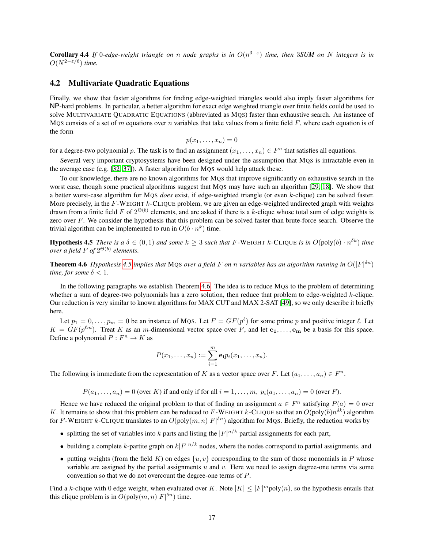**Corollary 4.4** If 0-edge-weight triangle on n node graphs is in  $O(n^{3-\epsilon})$  time, then 3*SUM* on N integers is in  $O(N^{2-\varepsilon/6})$  *time.* 

#### 4.2 Multivariate Quadratic Equations

Finally, we show that faster algorithms for finding edge-weighted triangles would also imply faster algorithms for NP-hard problems. In particular, a better algorithm for exact edge weighted triangle over finite fields could be used to solve MULTIVARIATE QUADRATIC EQUATIONS (abbreviated as MQS) faster than exhaustive search. An instance of MQS consists of a set of m equations over n variables that take values from a finite field  $F$ , where each equation is of the form

$$
p(x_1,\ldots,x_n)=0
$$

for a degree-two polynomial p. The task is to find an assignment  $(x_1, \ldots, x_n) \in F^n$  that satisfies all equations.

Several very important cryptosystems have been designed under the assumption that MQS is intractable even in the average case (e.g. [\[32,](#page-18-17) [37\]](#page-19-13)). A faster algorithm for MQS would help attack these.

To our knowledge, there are no known algorithms for MQS that improve significantly on exhaustive search in the worst case, though some practical algorithms suggest that MQS may have such an algorithm [\[29,](#page-18-18) [18\]](#page-18-19). We show that a better worst-case algorithm for MQS *does* exist, if edge-weighted triangle (or even k-clique) can be solved faster. More precisely, in the  $F$ -WEIGHT k-CLIQUE problem, we are given an edge-weighted undirected graph with weights drawn from a finite field F of  $2^{\Theta(b)}$  elements, and are asked if there is a k-clique whose total sum of edge weights is zero over  $F$ . We consider the hypothesis that this problem can be solved faster than brute-force search. Observe the trivial algorithm can be implemented to run in  $O(b \cdot n^k)$  time.

<span id="page-16-0"></span>**Hypothesis 4.5** *There is a*  $\delta \in (0,1)$  *and some*  $k \geq 3$  *such that* F-WEIGHT  $k$ -CLIQUE *is in*  $O(\text{poly}(b) \cdot n^{\delta k})$  *time over a field*  $F$  of  $2^{\Theta(b)}$  elements.

<span id="page-16-1"></span>**Theorem 4.6** *Hypothesis* [4.5](#page-16-0) *implies that* MQS *over a field* F *on n variables has an algorithm running in*  $O(|F|^{5n})$ *time, for some*  $\delta$  < 1*.* 

In the following paragraphs we establish Theorem [4.6.](#page-16-1) The idea is to reduce MQS to the problem of determining whether a sum of degree-two polynomials has a zero solution, then reduce that problem to edge-weighted  $k$ -clique. Our reduction is very similar to known algorithms for MAX CUT and MAX 2-SAT [\[49\]](#page-19-14), so we only describe it briefly here.

Let  $p_1 = 0, \ldots, p_m = 0$  be an instance of MQS. Let  $F = GF(p^{\ell})$  for some prime p and positive integer  $\ell$ . Let  $K = GF(p^{\ell m})$ . Treat K as an m-dimensional vector space over F, and let  $e_1, \ldots, e_m$  be a basis for this space. Define a polynomial  $P: F^n \to K$  as

$$
P(x_1,\ldots,x_n):=\sum_{i=1}^m \mathbf{e}_i p_i(x_1,\ldots,x_n).
$$

The following is immediate from the representation of K as a vector space over F. Let  $(a_1, \ldots, a_n) \in F^n$ .

 $P(a_1, \ldots, a_n) = 0$  (over K) if and only if for all  $i = 1, \ldots, m$ ,  $p_i(a_1, \ldots, a_n) = 0$  (over F).

Hence we have reduced the original problem to that of finding an assignment  $a \in F^n$  satisfying  $P(a) = 0$  over K. It remains to show that this problem can be reduced to F-WEIGHT k-CLIQUE so that an  $O(\text{poly}(b)n^{\delta k})$  algorithm for F-WEIGHT k-CLIQUE translates to an  $O(poly(m, n)|F|^{\delta n})$  algorithm for MQS. Briefly, the reduction works by

- splitting the set of variables into k parts and listing the  $|F|^{n/k}$  partial assignments for each part,
- building a complete k-partite graph on  $k|F|^{n/k}$  nodes, where the nodes correspond to partial assignments, and
- putting weights (from the field K) on edges  $\{u, v\}$  corresponding to the sum of those monomials in P whose variable are assigned by the partial assignments  $u$  and  $v$ . Here we need to assign degree-one terms via some convention so that we do not overcount the degree-one terms of P.

Find a k-clique with 0 edge weight, when evaluated over K. Note  $|K| \leq |F|^{m}$  poly $(n)$ , so the hypothesis entails that this clique problem is in  $O(poly(m, n)|F|^{\delta n})$  time.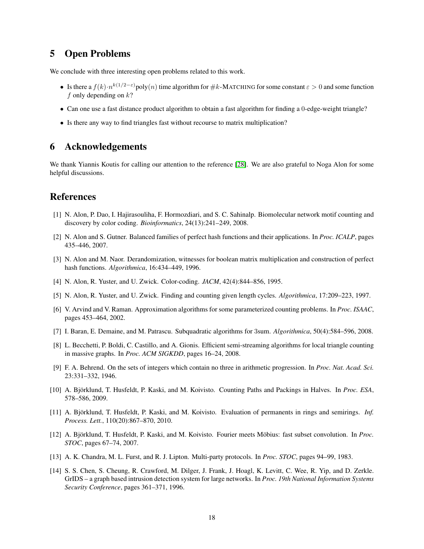# 5 Open Problems

We conclude with three interesting open problems related to this work.

- Is there a  $f(k) \cdot n^{k(1/2-\epsilon)}$ poly $(n)$  time algorithm for #k-MATCHING for some constant  $\epsilon > 0$  and some function f only depending on  $k$ ?
- Can one use a fast distance product algorithm to obtain a fast algorithm for finding a 0-edge-weight triangle?
- Is there any way to find triangles fast without recourse to matrix multiplication?

## 6 Acknowledgements

We thank Yiannis Koutis for calling our attention to the reference [\[28\]](#page-18-9). We are also grateful to Noga Alon for some helpful discussions.

### References

- <span id="page-17-3"></span>[1] N. Alon, P. Dao, I. Hajirasouliha, F. Hormozdiari, and S. C. Sahinalp. Biomolecular network motif counting and discovery by color coding. *Bioinformatics*, 24(13):241–249, 2008.
- <span id="page-17-4"></span>[2] N. Alon and S. Gutner. Balanced families of perfect hash functions and their applications. In *Proc. ICALP*, pages 435–446, 2007.
- <span id="page-17-11"></span>[3] N. Alon and M. Naor. Derandomization, witnesses for boolean matrix multiplication and construction of perfect hash functions. *Algorithmica*, 16:434–449, 1996.
- <span id="page-17-2"></span>[4] N. Alon, R. Yuster, and U. Zwick. Color-coding. *JACM*, 42(4):844–856, 1995.
- <span id="page-17-7"></span>[5] N. Alon, R. Yuster, and U. Zwick. Finding and counting given length cycles. *Algorithmica*, 17:209–223, 1997.
- <span id="page-17-5"></span>[6] V. Arvind and V. Raman. Approximation algorithms for some parameterized counting problems. In *Proc. ISAAC*, pages 453–464, 2002.
- <span id="page-17-6"></span>[7] I. Baran, E. Demaine, and M. Patrascu. Subquadratic algorithms for 3sum. *Algorithmica*, 50(4):584–596, 2008.
- <span id="page-17-0"></span>[8] L. Becchetti, P. Boldi, C. Castillo, and A. Gionis. Efficient semi-streaming algorithms for local triangle counting in massive graphs. In *Proc. ACM SIGKDD*, pages 16–24, 2008.
- <span id="page-17-13"></span>[9] F. A. Behrend. On the sets of integers which contain no three in arithmetic progression. In *Proc. Nat. Acad. Sci.* 23:331–332, 1946.
- <span id="page-17-8"></span>[10] A. Björklund, T. Husfeldt, P. Kaski, and M. Koivisto. Counting Paths and Packings in Halves. In *Proc. ESA*, 578–586, 2009.
- <span id="page-17-10"></span>[11] A. Björklund, T. Husfeldt, P. Kaski, and M. Koivisto. Evaluation of permanents in rings and semirings. Inf. *Process. Lett.*, 110(20):867–870, 2010.
- <span id="page-17-9"></span>[12] A. Björklund, T. Husfeldt, P. Kaski, and M. Koivisto. Fourier meets Möbius: fast subset convolution. In Proc. *STOC*, pages 67–74, 2007.
- <span id="page-17-12"></span>[13] A. K. Chandra, M. L. Furst, and R. J. Lipton. Multi-party protocols. In *Proc. STOC*, pages 94–99, 1983.
- <span id="page-17-1"></span>[14] S. S. Chen, S. Cheung, R. Crawford, M. Dilger, J. Frank, J. Hoagl, K. Levitt, C. Wee, R. Yip, and D. Zerkle. GrIDS – a graph based intrusion detection system for large networks. In *Proc. 19th National Information Systems Security Conference*, pages 361–371, 1996.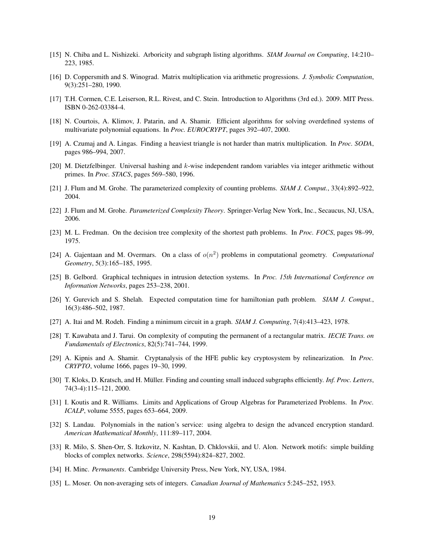- <span id="page-18-6"></span>[15] N. Chiba and L. Nishizeki. Arboricity and subgraph listing algorithms. *SIAM Journal on Computing*, 14:210– 223, 1985.
- <span id="page-18-0"></span>[16] D. Coppersmith and S. Winograd. Matrix multiplication via arithmetic progressions. *J. Symbolic Computation*, 9(3):251–280, 1990.
- <span id="page-18-13"></span>[17] T.H. Cormen, C.E. Leiserson, R.L. Rivest, and C. Stein. Introduction to Algorithms (3rd ed.). 2009. MIT Press. ISBN 0-262-03384-4.
- <span id="page-18-19"></span>[18] N. Courtois, A. Klimov, J. Patarin, and A. Shamir. Efficient algorithms for solving overdefined systems of multivariate polynomial equations. In *Proc. EUROCRYPT*, pages 392–407, 2000.
- <span id="page-18-4"></span>[19] A. Czumaj and A. Lingas. Finding a heaviest triangle is not harder than matrix multiplication. In *Proc. SODA*, pages 986–994, 2007.
- <span id="page-18-16"></span>[20] M. Dietzfelbinger. Universal hashing and k-wise independent random variables via integer arithmetic without primes. In *Proc. STACS*, pages 569–580, 1996.
- <span id="page-18-10"></span>[21] J. Flum and M. Grohe. The parameterized complexity of counting problems. *SIAM J. Comput.*, 33(4):892–922, 2004.
- <span id="page-18-3"></span>[22] J. Flum and M. Grohe. *Parameterized Complexity Theory*. Springer-Verlag New York, Inc., Secaucus, NJ, USA, 2006.
- [23] M. L. Fredman. On the decision tree complexity of the shortest path problems. In *Proc. FOCS*, pages 98–99, 1975.
- <span id="page-18-15"></span>[24] A. Gajentaan and M. Overmars. On a class of  $o(n^2)$  problems in computational geometry. *Computational Geometry*, 5(3):165–185, 1995.
- <span id="page-18-1"></span>[25] B. Gelbord. Graphical techniques in intrusion detection systems. In *Proc. 15th International Conference on Information Networks*, pages 253–238, 2001.
- <span id="page-18-11"></span>[26] Y. Gurevich and S. Shelah. Expected computation time for hamiltonian path problem. *SIAM J. Comput.*, 16(3):486–502, 1987.
- <span id="page-18-5"></span>[27] A. Itai and M. Rodeh. Finding a minimum circuit in a graph. *SIAM J. Computing*, 7(4):413–423, 1978.
- <span id="page-18-9"></span>[28] T. Kawabata and J. Tarui. On complexity of computing the permanent of a rectangular matrix. *IECIE Trans. on Fundamentals of Electronics*, 82(5):741–744, 1999.
- <span id="page-18-18"></span>[29] A. Kipnis and A. Shamir. Cryptanalysis of the HFE public key cryptosystem by relinearization. In *Proc. CRYPTO*, volume 1666, pages 19–30, 1999.
- <span id="page-18-7"></span>[30] T. Kloks, D. Kratsch, and H. Müller. Finding and counting small induced subgraphs efficiently. *Inf. Proc. Letters*, 74(3-4):115–121, 2000.
- <span id="page-18-12"></span>[31] I. Koutis and R. Williams. Limits and Applications of Group Algebras for Parameterized Problems. In *Proc. ICALP*, volume 5555, pages 653–664, 2009.
- <span id="page-18-17"></span>[32] S. Landau. Polynomials in the nation's service: using algebra to design the advanced encryption standard. *American Mathematical Monthly*, 111:89–117, 2004.
- <span id="page-18-2"></span>[33] R. Milo, S. Shen-Orr, S. Itzkovitz, N. Kashtan, D. Chklovskii, and U. Alon. Network motifs: simple building blocks of complex networks. *Science*, 298(5594):824–827, 2002.
- <span id="page-18-8"></span>[34] H. Minc. *Permanents*. Cambridge University Press, New York, NY, USA, 1984.
- <span id="page-18-14"></span>[35] L. Moser. On non-averaging sets of integers. *Canadian Journal of Mathematics* 5:245–252, 1953.